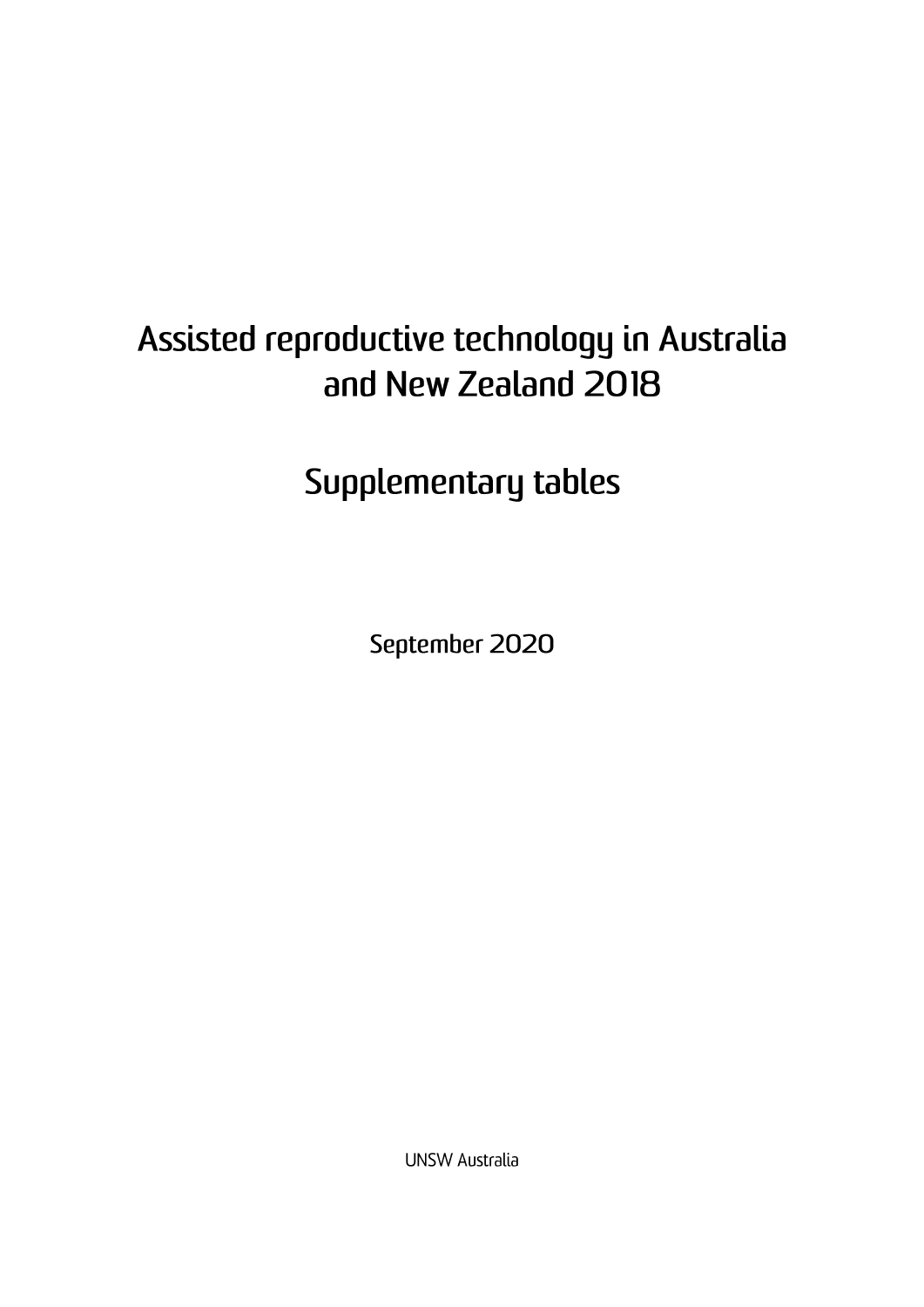# Assisted reproductive technology in Australia and New Zealand 2018

Supplementary tables

September 2020

**UNSW Australia**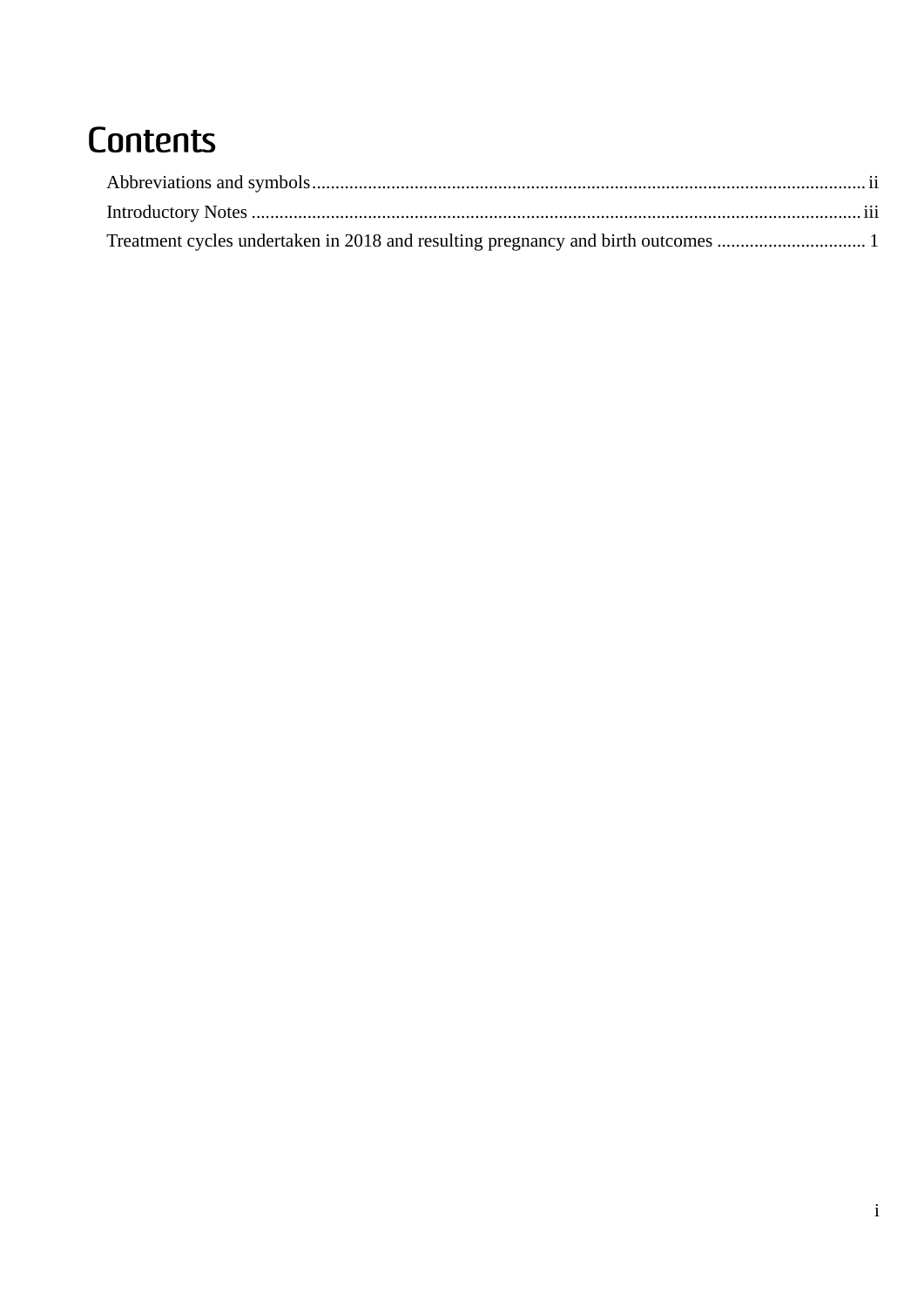## Contents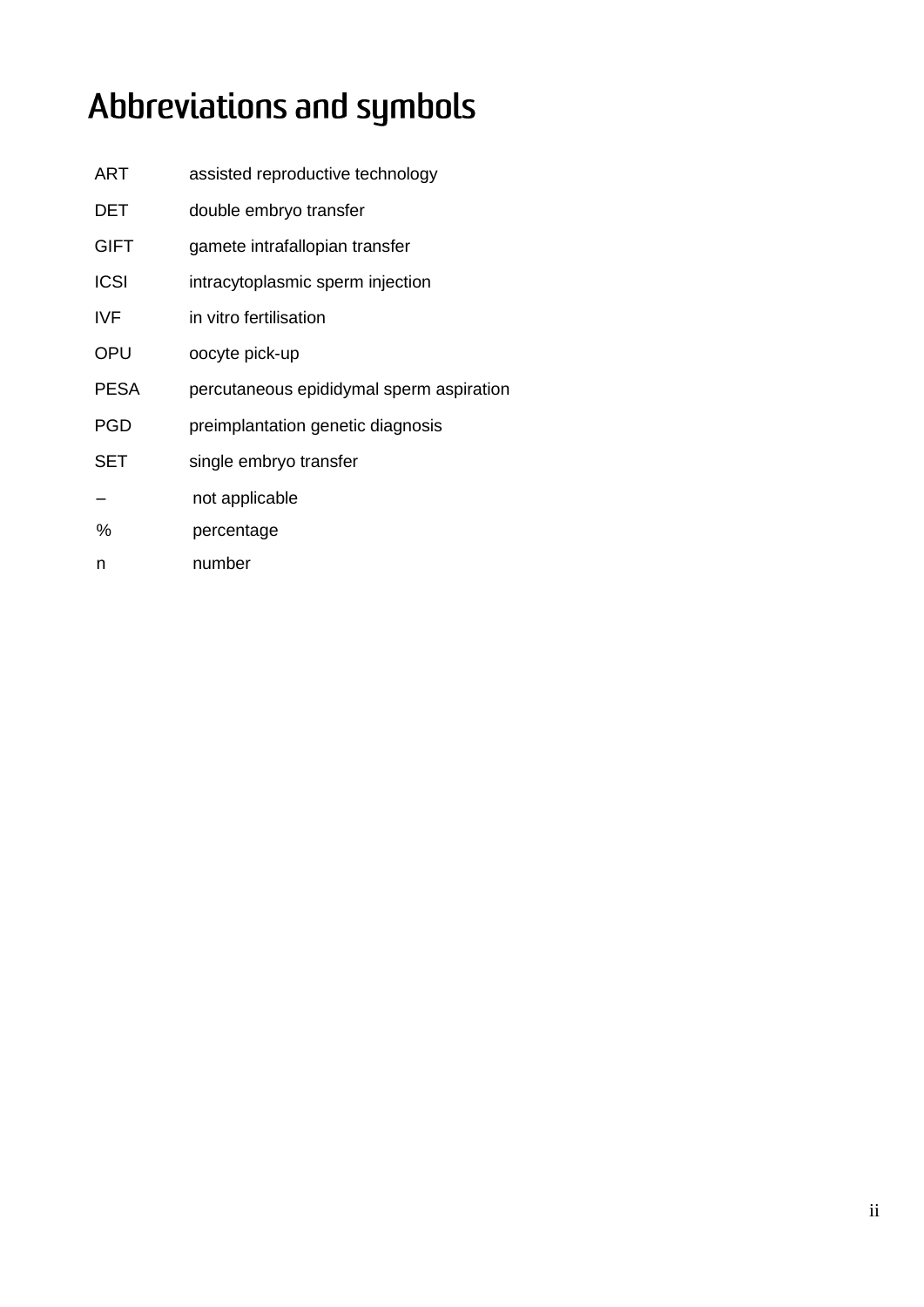# <span id="page-2-0"></span>Abbreviations and symbols

| ART         | assisted reproductive technology         |
|-------------|------------------------------------------|
| DET         | double embryo transfer                   |
| <b>GIFT</b> | gamete intrafallopian transfer           |
| <b>ICSI</b> | intracytoplasmic sperm injection         |
| IVF         | in vitro fertilisation                   |
| OPU         | oocyte pick-up                           |
|             |                                          |
| PESA        | percutaneous epididymal sperm aspiration |
| PGD         | preimplantation genetic diagnosis        |
| SET         | single embryo transfer                   |
|             | not applicable                           |
| %           | percentage                               |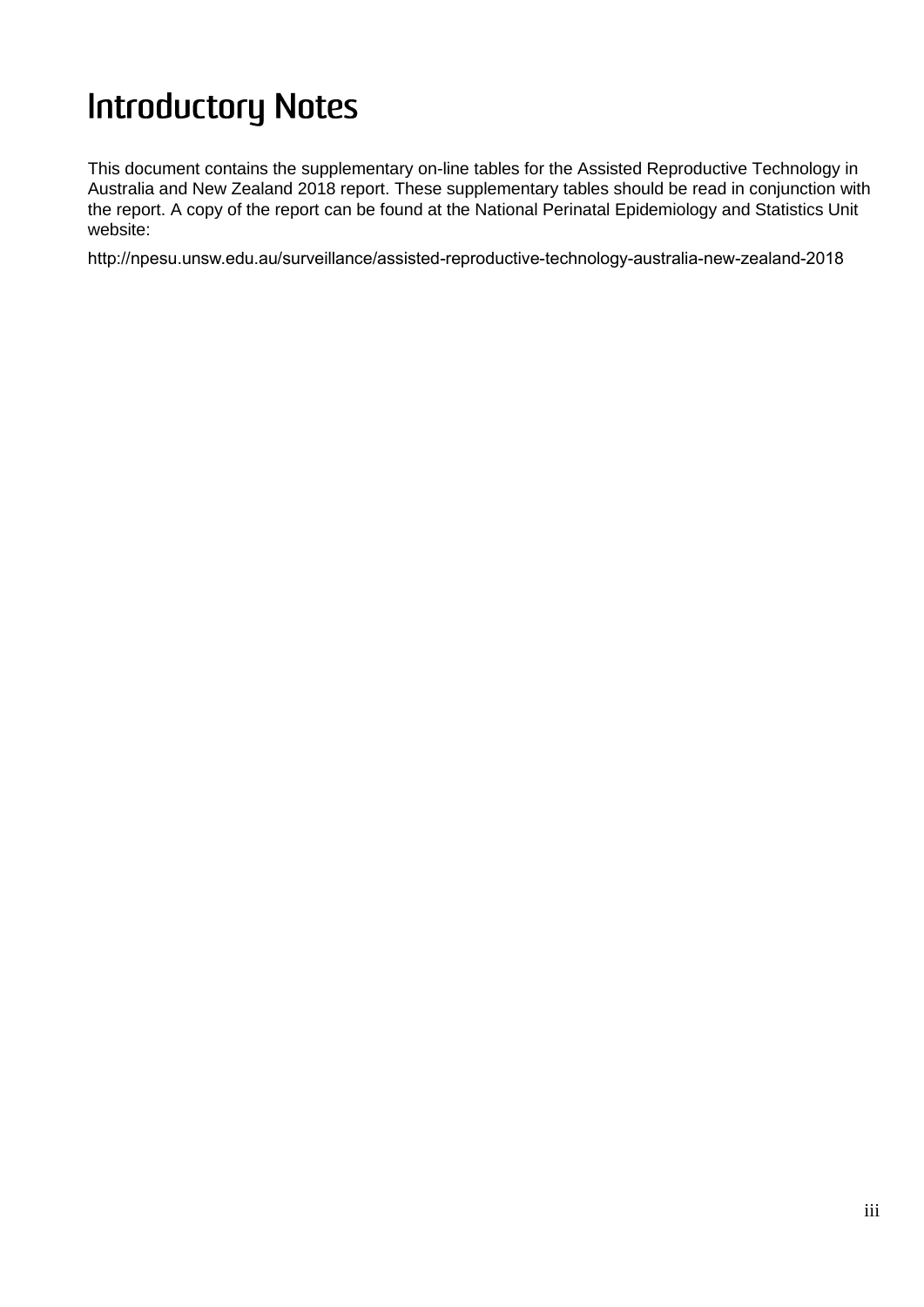# <span id="page-3-0"></span>**Introductory Notes**

This document contains the supplementary on-line tables for the Assisted Reproductive Technology in Australia and New Zealand 2018 report. These supplementary tables should be read in conjunction with the report. A copy of the report can be found at the National Perinatal Epidemiology and Statistics Unit website:

http://npesu.unsw.edu.au/surveillance/assisted-reproductive-technology-australia-new-zealand-2018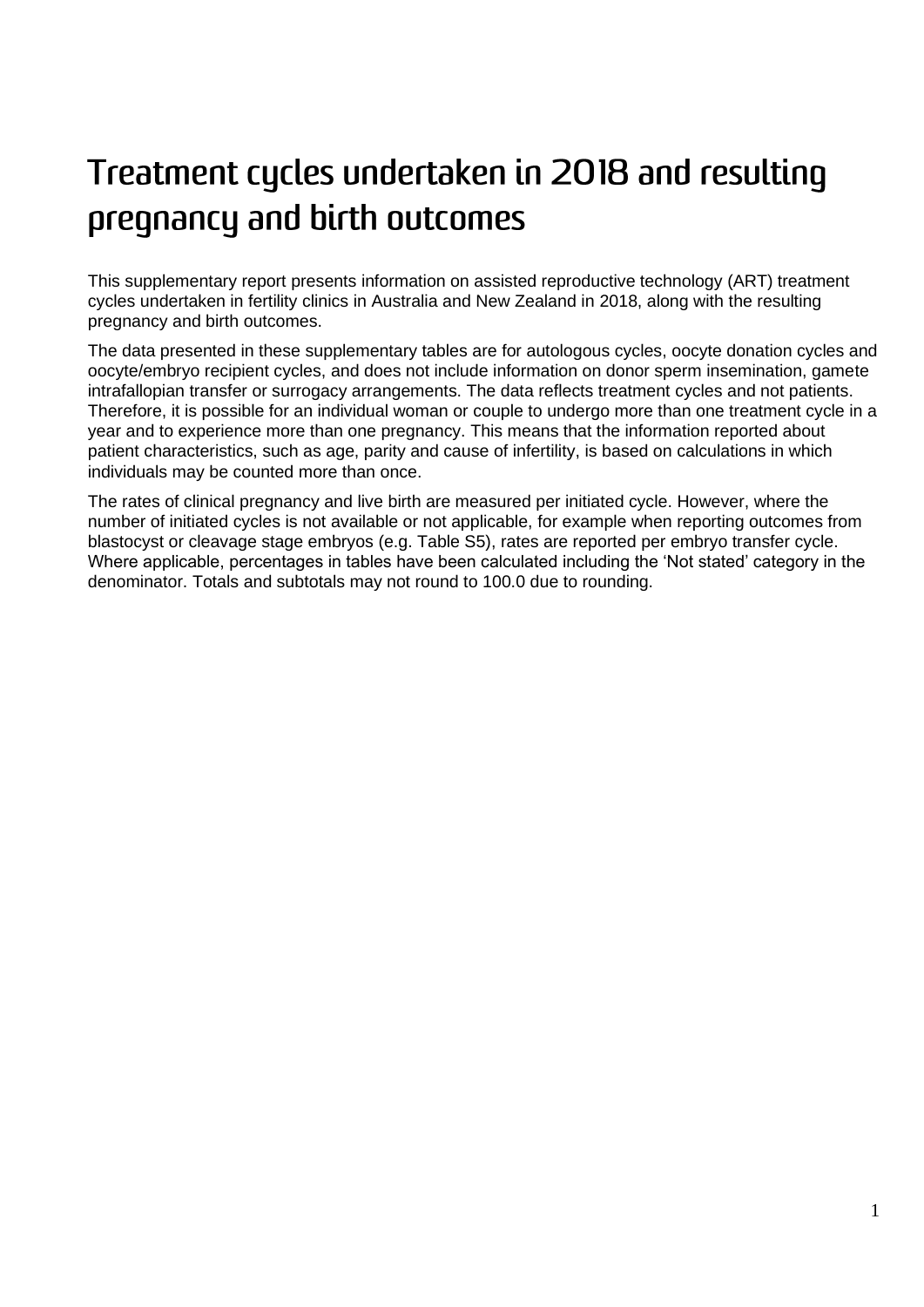# <span id="page-4-0"></span>Treatment cycles undertaken in 2018 and resulting pregnancy and birth outcomes

This supplementary report presents information on assisted reproductive technology (ART) treatment cycles undertaken in fertility clinics in Australia and New Zealand in 2018, along with the resulting pregnancy and birth outcomes.

The data presented in these supplementary tables are for autologous cycles, oocyte donation cycles and oocyte/embryo recipient cycles, and does not include information on donor sperm insemination, gamete intrafallopian transfer or surrogacy arrangements. The data reflects treatment cycles and not patients. Therefore, it is possible for an individual woman or couple to undergo more than one treatment cycle in a year and to experience more than one pregnancy. This means that the information reported about patient characteristics, such as age, parity and cause of infertility, is based on calculations in which individuals may be counted more than once.

The rates of clinical pregnancy and live birth are measured per initiated cycle. However, where the number of initiated cycles is not available or not applicable, for example when reporting outcomes from blastocyst or cleavage stage embryos (e.g. Table S5), rates are reported per embryo transfer cycle. Where applicable, percentages in tables have been calculated including the 'Not stated' category in the denominator. Totals and subtotals may not round to 100.0 due to rounding.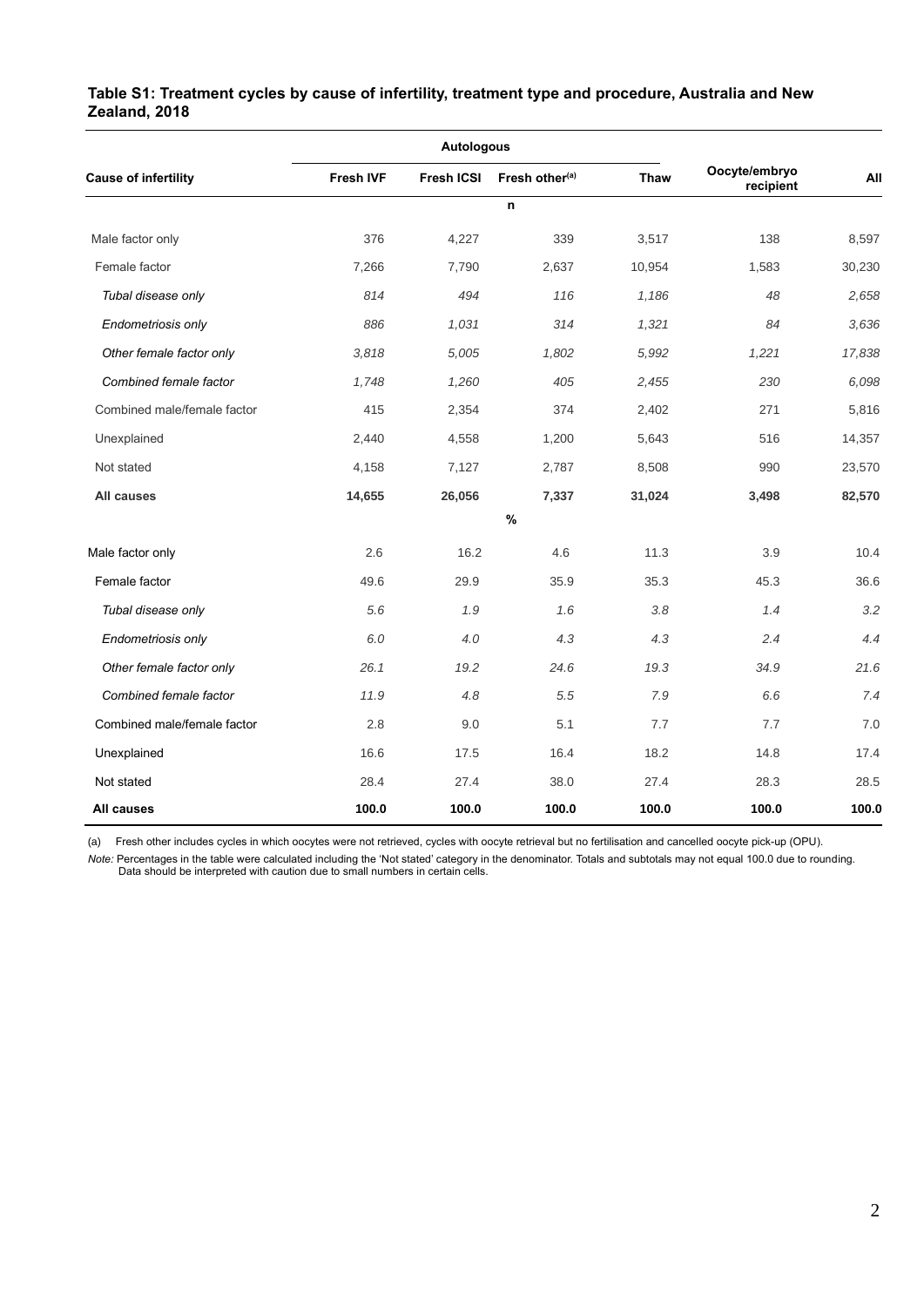<span id="page-5-0"></span>

| Table S1: Treatment cycles by cause of infertility, treatment type and procedure, Australia and New |  |
|-----------------------------------------------------------------------------------------------------|--|
| Zealand, 2018                                                                                       |  |

|                             |                  | <b>Autologous</b> |                            |             |                            |        |
|-----------------------------|------------------|-------------------|----------------------------|-------------|----------------------------|--------|
| <b>Cause of infertility</b> | <b>Fresh IVF</b> | <b>Fresh ICSI</b> | Fresh other <sup>(a)</sup> | <b>Thaw</b> | Oocyte/embryo<br>recipient | All    |
|                             |                  |                   | n                          |             |                            |        |
| Male factor only            | 376              | 4,227             | 339                        | 3,517       | 138                        | 8,597  |
| Female factor               | 7,266            | 7,790             | 2,637                      | 10,954      | 1,583                      | 30,230 |
| Tubal disease only          | 814              | 494               | 116                        | 1,186       | 48                         | 2,658  |
| Endometriosis only          | 886              | 1,031             | 314                        | 1,321       | 84                         | 3,636  |
| Other female factor only    | 3,818            | 5,005             | 1,802                      | 5,992       | 1,221                      | 17,838 |
| Combined female factor      | 1,748            | 1,260             | 405                        | 2,455       | 230                        | 6,098  |
| Combined male/female factor | 415              | 2,354             | 374                        | 2,402       | 271                        | 5,816  |
| Unexplained                 | 2,440            | 4,558             | 1,200                      | 5,643       | 516                        | 14,357 |
| Not stated                  | 4,158            | 7,127             | 2,787                      | 8,508       | 990                        | 23,570 |
| All causes                  | 14,655           | 26,056            | 7,337                      | 31,024      | 3,498                      | 82,570 |
|                             |                  |                   | %                          |             |                            |        |
| Male factor only            | 2.6              | 16.2              | 4.6                        | 11.3        | 3.9                        | 10.4   |
| Female factor               | 49.6             | 29.9              | 35.9                       | 35.3        | 45.3                       | 36.6   |
| Tubal disease only          | 5.6              | 1.9               | 1.6                        | 3.8         | 1.4                        | 3.2    |
| Endometriosis only          | 6.0              | 4.0               | 4.3                        | 4.3         | 2.4                        | 4.4    |
| Other female factor only    | 26.1             | 19.2              | 24.6                       | 19.3        | 34.9                       | 21.6   |
| Combined female factor      | 11.9             | 4.8               | 5.5                        | 7.9         | 6.6                        | 7.4    |
| Combined male/female factor | 2.8              | 9.0               | 5.1                        | 7.7         | 7.7                        | 7.0    |
| Unexplained                 | 16.6             | 17.5              | 16.4                       | 18.2        | 14.8                       | 17.4   |
| Not stated                  | 28.4             | 27.4              | 38.0                       | 27.4        | 28.3                       | 28.5   |
| <b>All causes</b>           | 100.0            | 100.0             | 100.0                      | 100.0       | 100.0                      | 100.0  |

(a) Fresh other includes cycles in which oocytes were not retrieved, cycles with oocyte retrieval but no fertilisation and cancelled oocyte pick-up (OPU).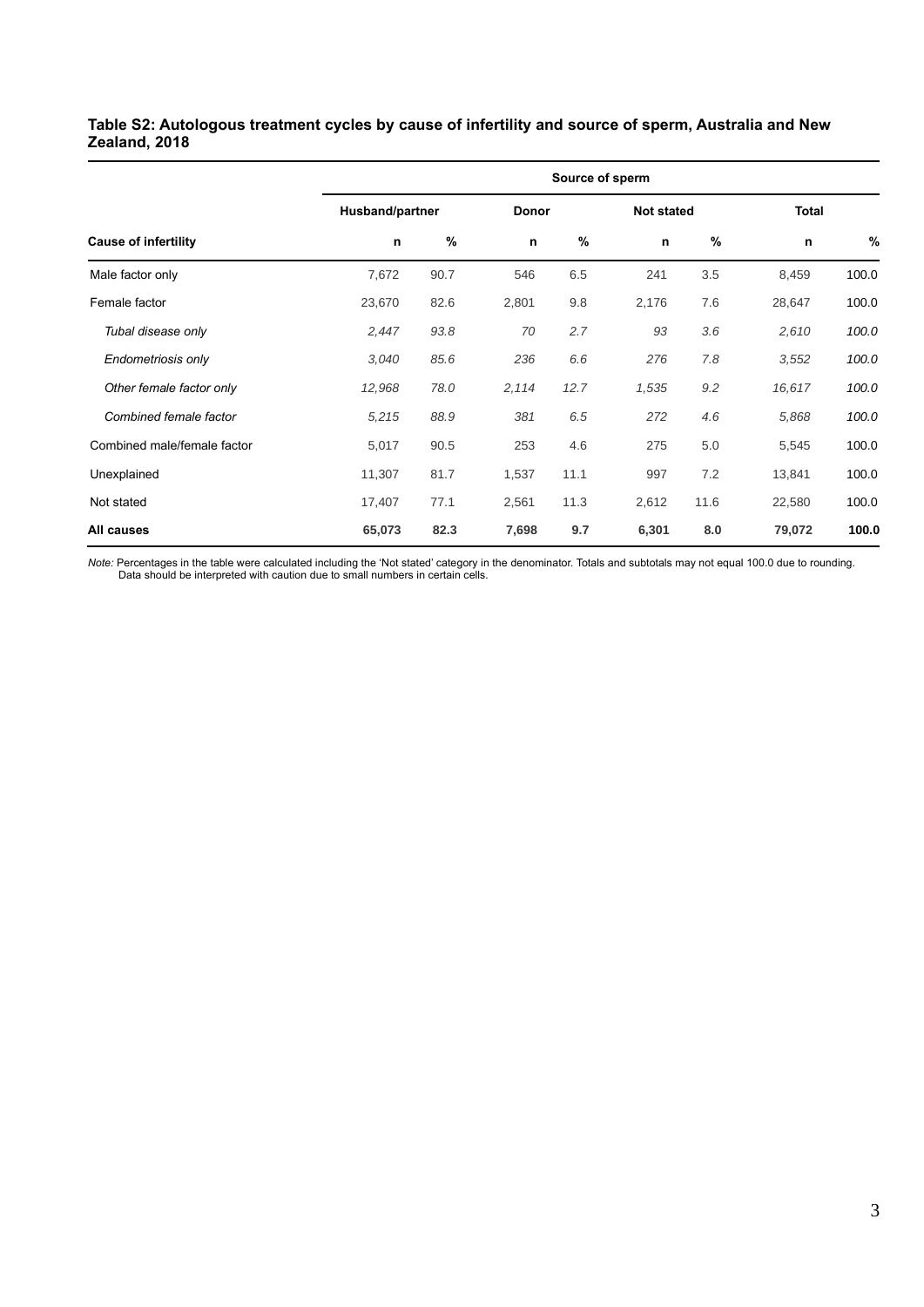## <span id="page-6-0"></span>**Table S2: Autologous treatment cycles by cause of infertility and source of sperm, Australia and New Zealand, 2018**

|                             |        | Source of sperm |       |       |       |                   |        |              |  |  |  |  |
|-----------------------------|--------|-----------------|-------|-------|-------|-------------------|--------|--------------|--|--|--|--|
|                             |        | Husband/partner |       | Donor |       | <b>Not stated</b> |        | <b>Total</b> |  |  |  |  |
| <b>Cause of infertility</b> | n      | %               | n     | $\%$  | n     | $\%$              | n      | %            |  |  |  |  |
| Male factor only            | 7,672  | 90.7            | 546   | 6.5   | 241   | 3.5               | 8,459  | 100.0        |  |  |  |  |
| Female factor               | 23,670 | 82.6            | 2,801 | 9.8   | 2,176 | 7.6               | 28,647 | 100.0        |  |  |  |  |
| Tubal disease only          | 2,447  | 93.8            | 70    | 2.7   | 93    | 3.6               | 2,610  | 100.0        |  |  |  |  |
| Endometriosis only          | 3,040  | 85.6            | 236   | 6.6   | 276   | 7.8               | 3,552  | 100.0        |  |  |  |  |
| Other female factor only    | 12,968 | 78.0            | 2,114 | 12.7  | 1,535 | 9.2               | 16,617 | 100.0        |  |  |  |  |
| Combined female factor      | 5,215  | 88.9            | 381   | 6.5   | 272   | 4.6               | 5,868  | 100.0        |  |  |  |  |
| Combined male/female factor | 5,017  | 90.5            | 253   | 4.6   | 275   | 5.0               | 5,545  | 100.0        |  |  |  |  |
| Unexplained                 | 11,307 | 81.7            | 1,537 | 11.1  | 997   | 7.2               | 13,841 | 100.0        |  |  |  |  |
| Not stated                  | 17,407 | 77.1            | 2,561 | 11.3  | 2,612 | 11.6              | 22,580 | 100.0        |  |  |  |  |
| All causes                  | 65,073 | 82.3            | 7,698 | 9.7   | 6,301 | 8.0               | 79,072 | 100.0        |  |  |  |  |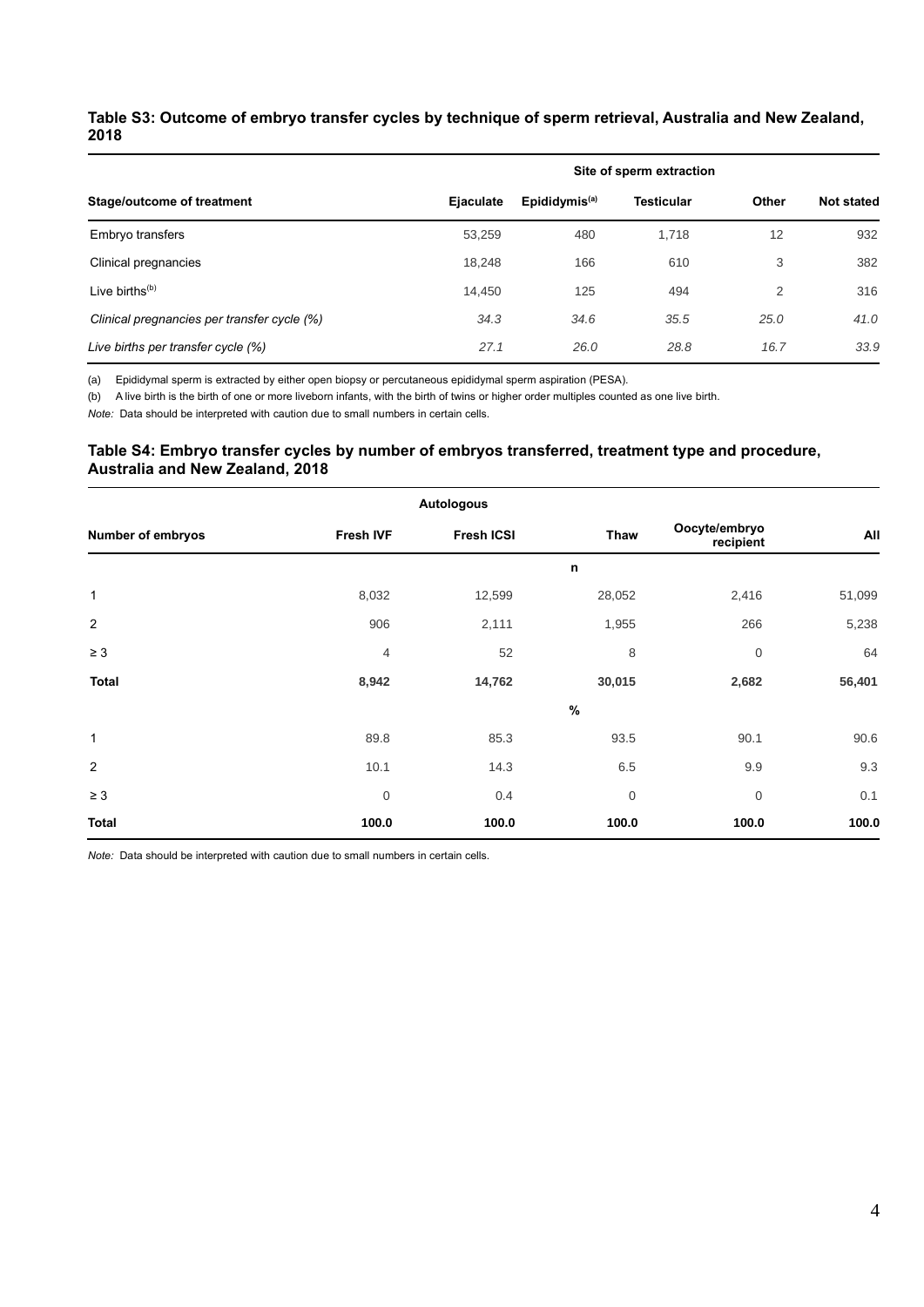## <span id="page-7-0"></span>**Table S3: Outcome of embryo transfer cycles by technique of sperm retrieval, Australia and New Zealand, 2018**

|                                             | Site of sperm extraction |                           |                   |       |                   |  |  |  |  |
|---------------------------------------------|--------------------------|---------------------------|-------------------|-------|-------------------|--|--|--|--|
| Stage/outcome of treatment                  | Ejaculate                | Epididymis <sup>(a)</sup> | <b>Testicular</b> | Other | <b>Not stated</b> |  |  |  |  |
| Embryo transfers                            | 53,259                   | 480                       | 1,718             | 12    | 932               |  |  |  |  |
| Clinical pregnancies                        | 18.248                   | 166                       | 610               | 3     | 382               |  |  |  |  |
| Live births $(b)$                           | 14,450                   | 125                       | 494               | 2     | 316               |  |  |  |  |
| Clinical pregnancies per transfer cycle (%) | 34.3                     | 34.6                      | 35.5              | 25.0  | 41.0              |  |  |  |  |
| Live births per transfer cycle (%)          | 27.1                     | 26.0                      | 28.8              | 16.7  | 33.9              |  |  |  |  |

(a) Epididymal sperm is extracted by either open biopsy or percutaneous epididymal sperm aspiration (PESA).

(b) A live birth is the birth of one or more liveborn infants, with the birth of twins or higher order multiples counted as one live birth.

*Note:* Data should be interpreted with caution due to small numbers in certain cells*.*

### <span id="page-7-1"></span>**Table S4: Embryo transfer cycles by number of embryos transferred, treatment type and procedure, Australia and New Zealand, 2018**

|                   |                  | <b>Autologous</b> |             |                            |        |
|-------------------|------------------|-------------------|-------------|----------------------------|--------|
| Number of embryos | <b>Fresh IVF</b> | <b>Fresh ICSI</b> | Thaw        | Oocyte/embryo<br>recipient | All    |
|                   |                  |                   | n           |                            |        |
| $\mathbf{1}$      | 8,032            | 12,599            | 28,052      | 2,416                      | 51,099 |
| $\overline{2}$    | 906              | 2,111             | 1,955       | 266                        | 5,238  |
| $\geq 3$          | $\overline{4}$   | 52                | 8           | $\mathbf 0$                | 64     |
| <b>Total</b>      | 8,942            | 14,762            | 30,015      | 2,682                      | 56,401 |
|                   |                  |                   | $\%$        |                            |        |
| $\mathbf{1}$      | 89.8             | 85.3              | 93.5        | 90.1                       | 90.6   |
| $\overline{2}$    | 10.1             | 14.3              | 6.5         | 9.9                        | 9.3    |
| $\geq 3$          | $\boldsymbol{0}$ | 0.4               | $\mathbf 0$ | $\mathbf 0$                | 0.1    |
| <b>Total</b>      | 100.0            | 100.0             | 100.0       | 100.0                      | 100.0  |

*Note:* Data should be interpreted with caution due to small numbers in certain cells*.*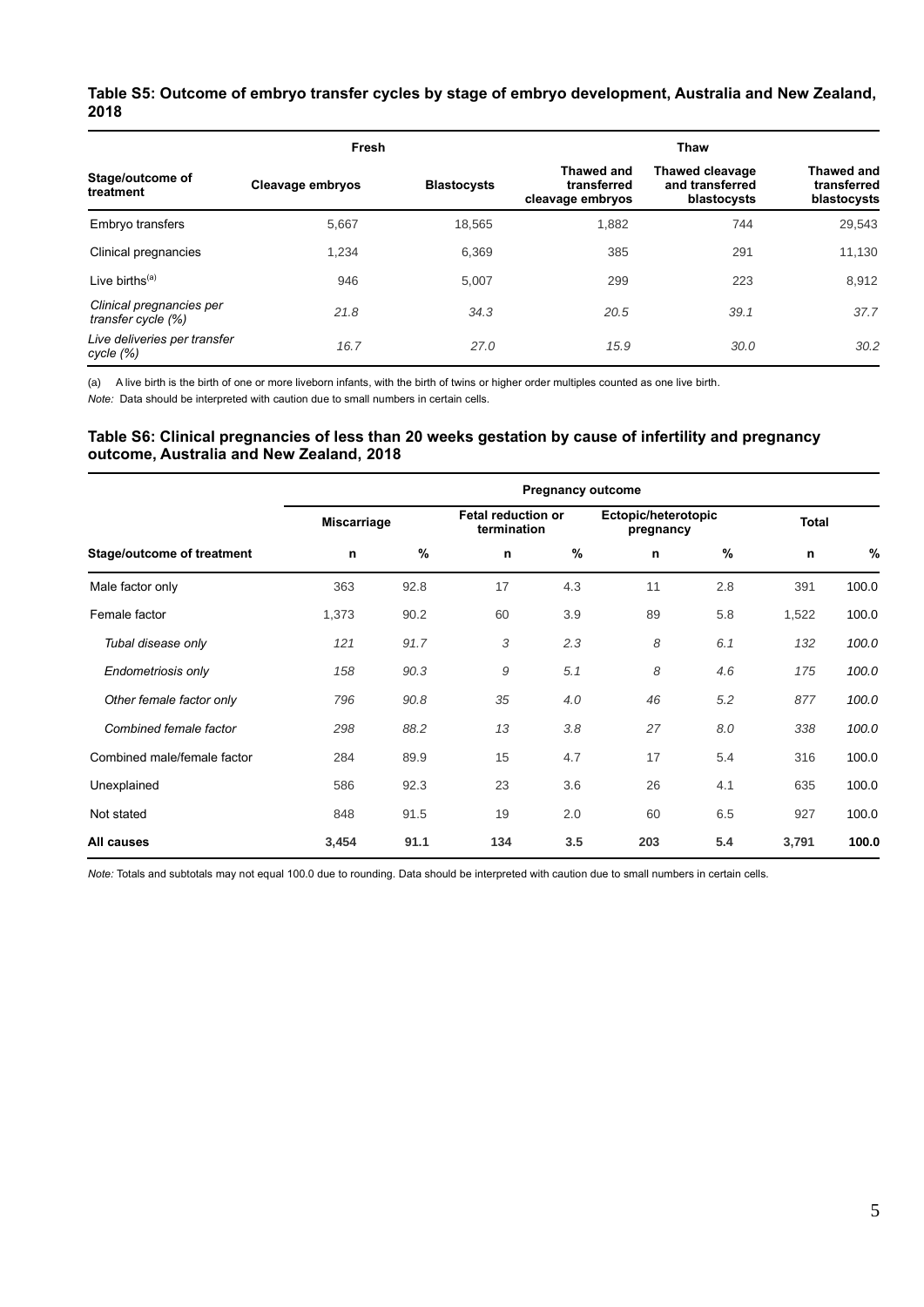## <span id="page-8-0"></span>**Table S5: Outcome of embryo transfer cycles by stage of embryo development, Australia and New Zealand, 2018**

|                                                | Fresh            |                    | Thaw                                                 |                                                          |                                                 |  |  |
|------------------------------------------------|------------------|--------------------|------------------------------------------------------|----------------------------------------------------------|-------------------------------------------------|--|--|
| Stage/outcome of<br>treatment                  | Cleavage embryos | <b>Blastocysts</b> | <b>Thawed and</b><br>transferred<br>cleavage embryos | <b>Thawed cleavage</b><br>and transferred<br>blastocysts | <b>Thawed and</b><br>transferred<br>blastocysts |  |  |
| Embryo transfers                               | 5,667            | 18,565             | 1,882                                                | 744                                                      | 29,543                                          |  |  |
| Clinical pregnancies                           | 1,234            | 6,369              | 385                                                  | 291                                                      | 11,130                                          |  |  |
| Live births $(a)$                              | 946              | 5.007              | 299                                                  | 223                                                      | 8,912                                           |  |  |
| Clinical pregnancies per<br>transfer cycle (%) | 21.8             | 34.3               | 20.5                                                 | 39.1                                                     | 37.7                                            |  |  |
| Live deliveries per transfer<br>cycle (%)      | 16.7             | 27.0               | 15.9                                                 | 30.0                                                     | 30.2                                            |  |  |

(a) A live birth is the birth of one or more liveborn infants, with the birth of twins or higher order multiples counted as one live birth.

*Note:* Data should be interpreted with caution due to small numbers in certain cells*.*

### <span id="page-8-1"></span>**Table S6: Clinical pregnancies of less than 20 weeks gestation by cause of infertility and pregnancy outcome, Australia and New Zealand, 2018**

|                             | <b>Pregnancy outcome</b> |               |                                          |      |                                  |     |              |       |  |  |
|-----------------------------|--------------------------|---------------|------------------------------------------|------|----------------------------------|-----|--------------|-------|--|--|
|                             | <b>Miscarriage</b>       |               | <b>Fetal reduction or</b><br>termination |      | Ectopic/heterotopic<br>pregnancy |     | <b>Total</b> |       |  |  |
| Stage/outcome of treatment  | n                        | $\frac{9}{6}$ | n                                        | $\%$ | n                                | %   | n            | %     |  |  |
| Male factor only            | 363                      | 92.8          | 17                                       | 4.3  | 11                               | 2.8 | 391          | 100.0 |  |  |
| Female factor               | 1,373                    | 90.2          | 60                                       | 3.9  | 89                               | 5.8 | 1,522        | 100.0 |  |  |
| Tubal disease only          | 121                      | 91.7          | 3                                        | 2.3  | 8                                | 6.1 | 132          | 100.0 |  |  |
| Endometriosis only          | 158                      | 90.3          | 9                                        | 5.1  | 8                                | 4.6 | 175          | 100.0 |  |  |
| Other female factor only    | 796                      | 90.8          | 35                                       | 4.0  | 46                               | 5.2 | 877          | 100.0 |  |  |
| Combined female factor      | 298                      | 88.2          | 13                                       | 3.8  | 27                               | 8.0 | 338          | 100.0 |  |  |
| Combined male/female factor | 284                      | 89.9          | 15                                       | 4.7  | 17                               | 5.4 | 316          | 100.0 |  |  |
| Unexplained                 | 586                      | 92.3          | 23                                       | 3.6  | 26                               | 4.1 | 635          | 100.0 |  |  |
| Not stated                  | 848                      | 91.5          | 19                                       | 2.0  | 60                               | 6.5 | 927          | 100.0 |  |  |
| All causes                  | 3,454                    | 91.1          | 134                                      | 3.5  | 203                              | 5.4 | 3,791        | 100.0 |  |  |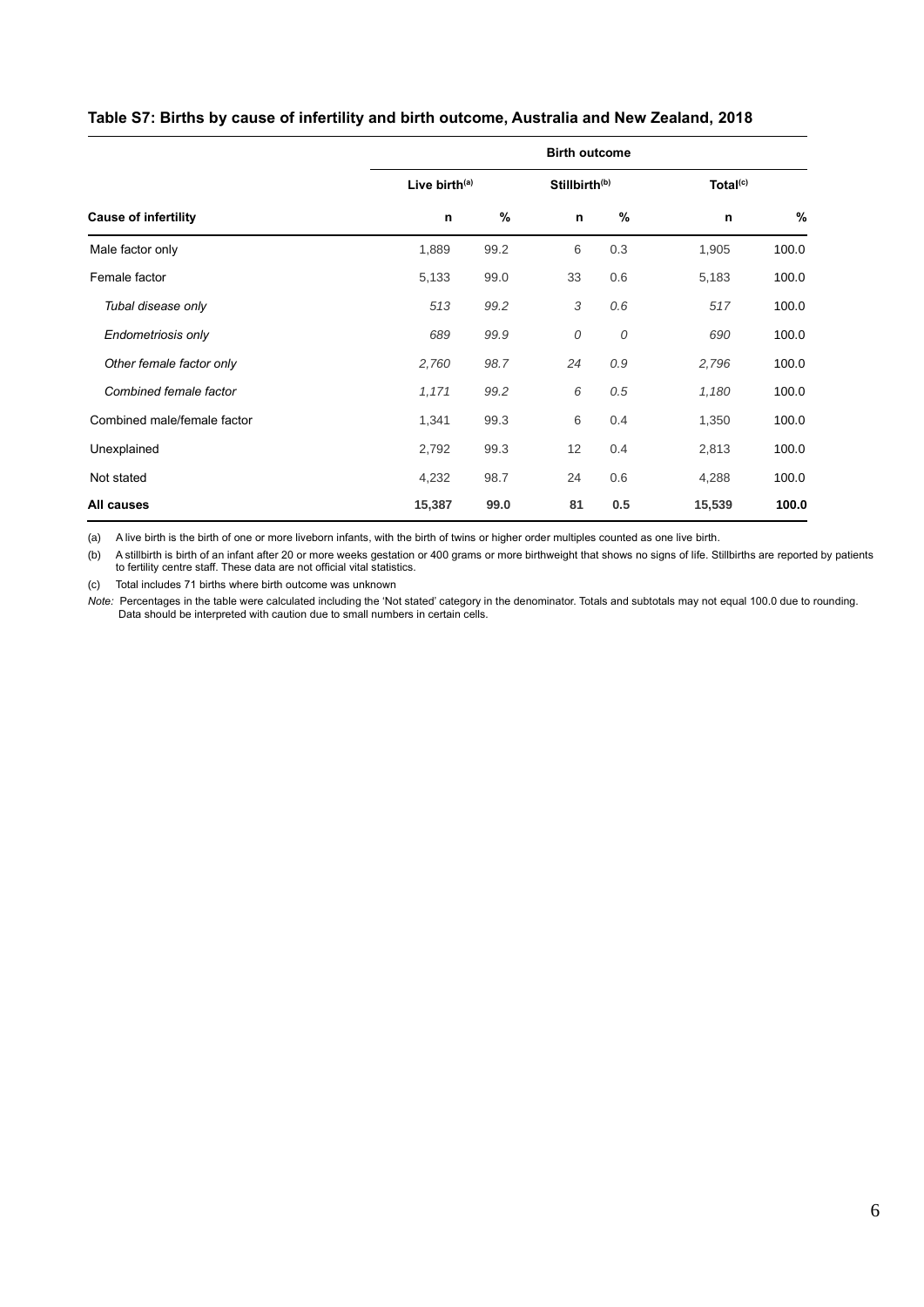|                             | <b>Birth outcome</b>      |      |    |                           |                      |       |  |  |  |  |
|-----------------------------|---------------------------|------|----|---------------------------|----------------------|-------|--|--|--|--|
|                             | Live birth <sup>(a)</sup> |      |    | Stillbirth <sup>(b)</sup> | Total <sup>(c)</sup> |       |  |  |  |  |
| <b>Cause of infertility</b> | n                         | $\%$ | n  | %                         | n                    | %     |  |  |  |  |
| Male factor only            | 1,889                     | 99.2 | 6  | 0.3                       | 1,905                | 100.0 |  |  |  |  |
| Female factor               | 5,133                     | 99.0 | 33 | 0.6                       | 5,183                | 100.0 |  |  |  |  |
| Tubal disease only          | 513                       | 99.2 | 3  | 0.6                       | 517                  | 100.0 |  |  |  |  |
| Endometriosis only          | 689                       | 99.9 | 0  | 0                         | 690                  | 100.0 |  |  |  |  |
| Other female factor only    | 2,760                     | 98.7 | 24 | 0.9                       | 2,796                | 100.0 |  |  |  |  |
| Combined female factor      | 1,171                     | 99.2 | 6  | 0.5                       | 1,180                | 100.0 |  |  |  |  |
| Combined male/female factor | 1,341                     | 99.3 | 6  | 0.4                       | 1,350                | 100.0 |  |  |  |  |
| Unexplained                 | 2,792                     | 99.3 | 12 | 0.4                       | 2,813                | 100.0 |  |  |  |  |
| Not stated                  | 4,232                     | 98.7 | 24 | 0.6                       | 4,288                | 100.0 |  |  |  |  |
| All causes                  | 15,387                    | 99.0 | 81 | 0.5                       | 15,539               | 100.0 |  |  |  |  |

## <span id="page-9-0"></span>**Table S7: Births by cause of infertility and birth outcome, Australia and New Zealand, 2018**

(a) A live birth is the birth of one or more liveborn infants, with the birth of twins or higher order multiples counted as one live birth.

(b) A stillbirth is birth of an infant after 20 or more weeks gestation or 400 grams or more birthweight that shows no signs of life. Stillbirths are reported by patients to fertility centre staff. These data are not official vital statistics.

(c) Total includes 71 births where birth outcome was unknown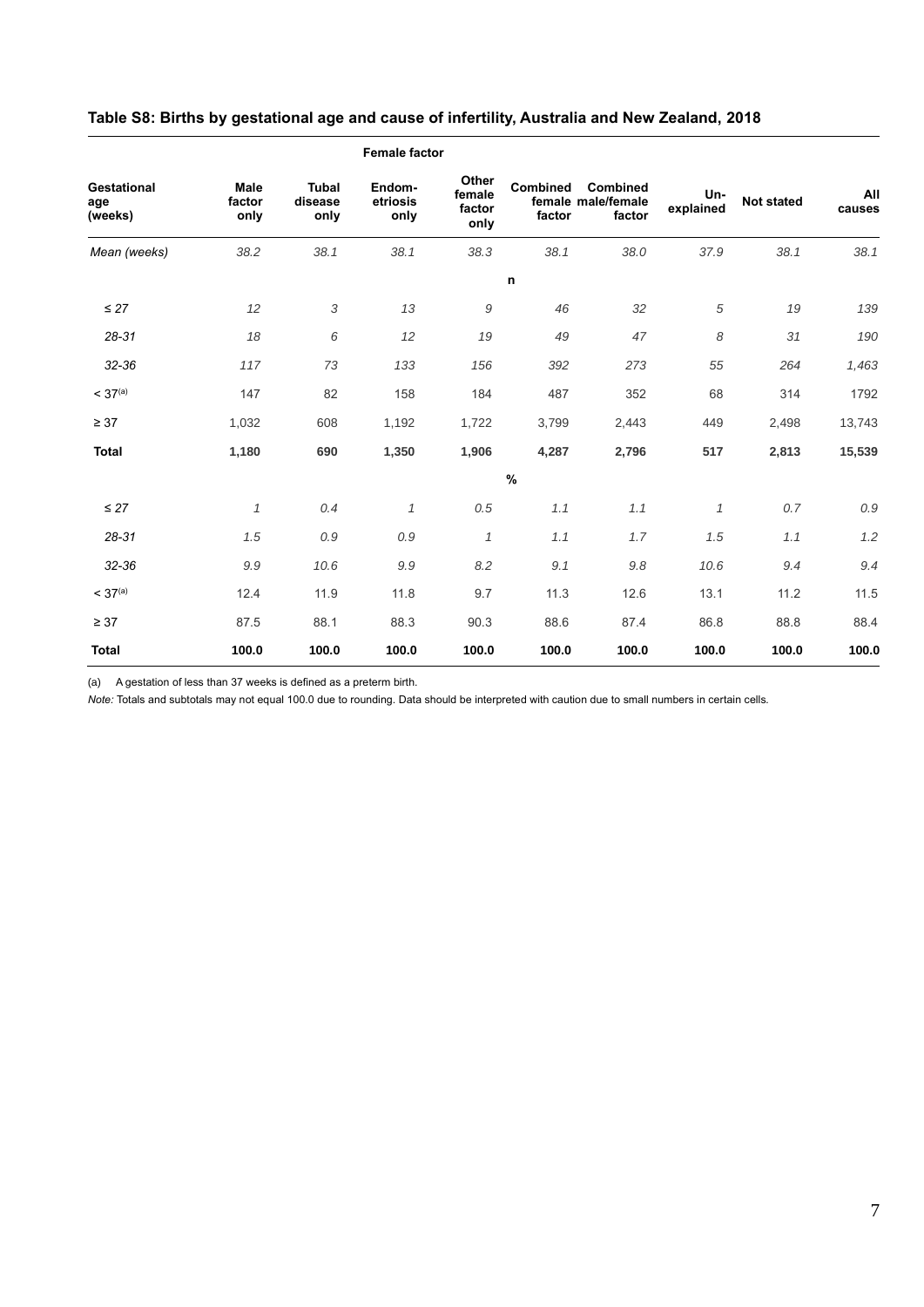|                                      |                        |                                 | <b>Female factor</b>       |                                   |                    |                                          |                  |                   |               |
|--------------------------------------|------------------------|---------------------------------|----------------------------|-----------------------------------|--------------------|------------------------------------------|------------------|-------------------|---------------|
| <b>Gestational</b><br>age<br>(weeks) | Male<br>factor<br>only | <b>Tubal</b><br>disease<br>only | Endom-<br>etriosis<br>only | Other<br>female<br>factor<br>only | Combined<br>factor | Combined<br>female male/female<br>factor | Un-<br>explained | <b>Not stated</b> | All<br>causes |
| Mean (weeks)                         | 38.2                   | 38.1                            | 38.1                       | 38.3                              | 38.1               | 38.0                                     | 37.9             | 38.1              | 38.1          |
|                                      |                        |                                 |                            |                                   | $\mathbf n$        |                                          |                  |                   |               |
| $\leq$ 27                            | 12                     | 3                               | 13                         | 9                                 | 46                 | 32                                       | 5                | 19                | 139           |
| $28 - 31$                            | 18                     | 6                               | 12                         | 19                                | 49                 | 47                                       | 8                | 31                | 190           |
| 32-36                                | 117                    | 73                              | 133                        | 156                               | 392                | 273                                      | 55               | 264               | 1,463         |
| < 37 <sup>(a)</sup>                  | 147                    | 82                              | 158                        | 184                               | 487                | 352                                      | 68               | 314               | 1792          |
| $\geq 37$                            | 1,032                  | 608                             | 1,192                      | 1,722                             | 3,799              | 2,443                                    | 449              | 2,498             | 13,743        |
| <b>Total</b>                         | 1,180                  | 690                             | 1,350                      | 1,906                             | 4,287              | 2,796                                    | 517              | 2,813             | 15,539        |
|                                      |                        |                                 |                            |                                   | $\%$               |                                          |                  |                   |               |
| $\leq$ 27                            | $\mathcal I$           | 0.4                             | $\mathcal I$               | 0.5                               | 1.1                | 1.1                                      | $\mathcal I$     | 0.7               | 0.9           |
| $28 - 31$                            | 1.5                    | 0.9                             | 0.9                        | $\mathcal I$                      | 1.1                | 1.7                                      | 1.5              | 1.1               | 1.2           |
| 32-36                                | 9.9                    | 10.6                            | 9.9                        | 8.2                               | 9.1                | 9.8                                      | 10.6             | 9.4               | 9.4           |
| < 37 <sup>(a)</sup>                  | 12.4                   | 11.9                            | 11.8                       | 9.7                               | 11.3               | 12.6                                     | 13.1             | 11.2              | 11.5          |
| $\geq 37$                            | 87.5                   | 88.1                            | 88.3                       | 90.3                              | 88.6               | 87.4                                     | 86.8             | 88.8              | 88.4          |
| <b>Total</b>                         | 100.0                  | 100.0                           | 100.0                      | 100.0                             | 100.0              | 100.0                                    | 100.0            | 100.0             | 100.0         |

## <span id="page-10-0"></span>**Table S8: Births by gestational age and cause of infertility, Australia and New Zealand, 2018**

(a) A gestation of less than 37 weeks is defined as a preterm birth.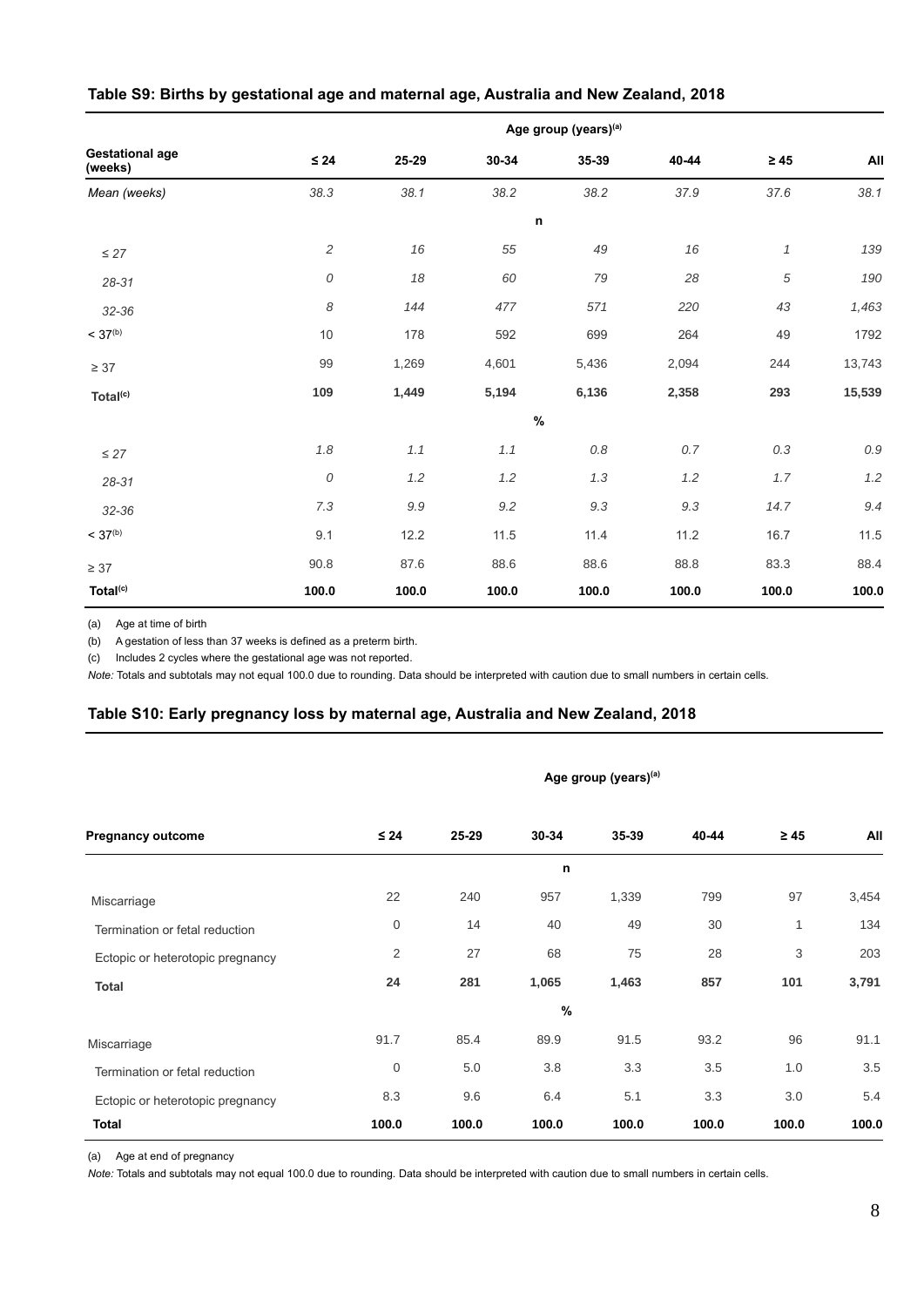|                                   |            |         |         | Age group (years) <sup>(a)</sup> |         |              |         |
|-----------------------------------|------------|---------|---------|----------------------------------|---------|--------------|---------|
| <b>Gestational age</b><br>(weeks) | $\leq 24$  | 25-29   | 30-34   | 35-39                            | 40-44   | $\geq 45$    | All     |
| Mean (weeks)                      | 38.3       | 38.1    | 38.2    | 38.2                             | 37.9    | 37.6         | 38.1    |
|                                   |            |         |         | $\mathsf{n}$                     |         |              |         |
| $\leq 27$                         | $\sqrt{2}$ | 16      | 55      | 49                               | 16      | $\mathcal I$ | 139     |
| 28-31                             | 0          | 18      | 60      | 79                               | 28      | 5            | 190     |
| 32-36                             | 8          | 144     | 477     | 571                              | 220     | 43           | 1,463   |
| < 37 <sup>(b)</sup>               | 10         | 178     | 592     | 699                              | 264     | 49           | 1792    |
| $\geq 37$                         | 99         | 1,269   | 4,601   | 5,436                            | 2,094   | 244          | 13,743  |
| Total <sup>(c)</sup>              | 109        | 1,449   | 5,194   | 6,136                            | 2,358   | 293          | 15,539  |
|                                   |            |         |         | $\%$                             |         |              |         |
| $\leq 27$                         | 1.8        | 1.1     | 1.1     | $0.8\,$                          | $0.7\,$ | 0.3          | $0.9\,$ |
| 28-31                             | 0          | $1.2\,$ | 1.2     | 1.3                              | $1.2\,$ | 1.7          | 1.2     |
| 32-36                             | $7.3\,$    | $9.9\,$ | $9.2\,$ | $9.3\,$                          | $9.3\,$ | 14.7         | 9.4     |
| < 37 <sup>(b)</sup>               | 9.1        | 12.2    | 11.5    | 11.4                             | 11.2    | 16.7         | 11.5    |
| $\geq 37$                         | 90.8       | 87.6    | 88.6    | 88.6                             | 88.8    | 83.3         | 88.4    |
| Total <sup>(c)</sup>              | 100.0      | 100.0   | 100.0   | 100.0                            | 100.0   | 100.0        | 100.0   |

## <span id="page-11-0"></span>**Table S9: Births by gestational age and maternal age, Australia and New Zealand, 2018**

(a) Age at time of birth

(b) A gestation of less than 37 weeks is defined as a preterm birth.

(c) Includes 2 cycles where the gestational age was not reported.

*Note:* Totals and subtotals may not equal 100.0 due to rounding. Data should be interpreted with caution due to small numbers in certain cells*.*

## <span id="page-11-1"></span>**Table S10: Early pregnancy loss by maternal age, Australia and New Zealand, 2018**

| $\leq 24$      | 25-29 | 30-34 | 35-39 | 40-44                            | $\geq 45$ | All   |  |  |  |
|----------------|-------|-------|-------|----------------------------------|-----------|-------|--|--|--|
| n              |       |       |       |                                  |           |       |  |  |  |
| 22             | 240   | 957   | 1,339 | 799                              | 97        | 3,454 |  |  |  |
| 0              | 14    | 40    | 49    | 30                               | 1         | 134   |  |  |  |
| $\overline{2}$ | 27    | 68    | 75    | 28                               | 3         | 203   |  |  |  |
| 24             | 281   | 1,065 | 1,463 | 857                              | 101       | 3,791 |  |  |  |
|                |       | %     |       |                                  |           |       |  |  |  |
| 91.7           | 85.4  | 89.9  | 91.5  | 93.2                             | 96        | 91.1  |  |  |  |
| $\mathbf 0$    | 5.0   | 3.8   | 3.3   | 3.5                              | 1.0       | 3.5   |  |  |  |
| 8.3            | 9.6   | 6.4   | 5.1   | 3.3                              | 3.0       | 5.4   |  |  |  |
| 100.0          | 100.0 | 100.0 | 100.0 | 100.0                            | 100.0     | 100.0 |  |  |  |
|                |       |       |       | Age group (years) <sup>(a)</sup> |           |       |  |  |  |

(a) Age at end of pregnancy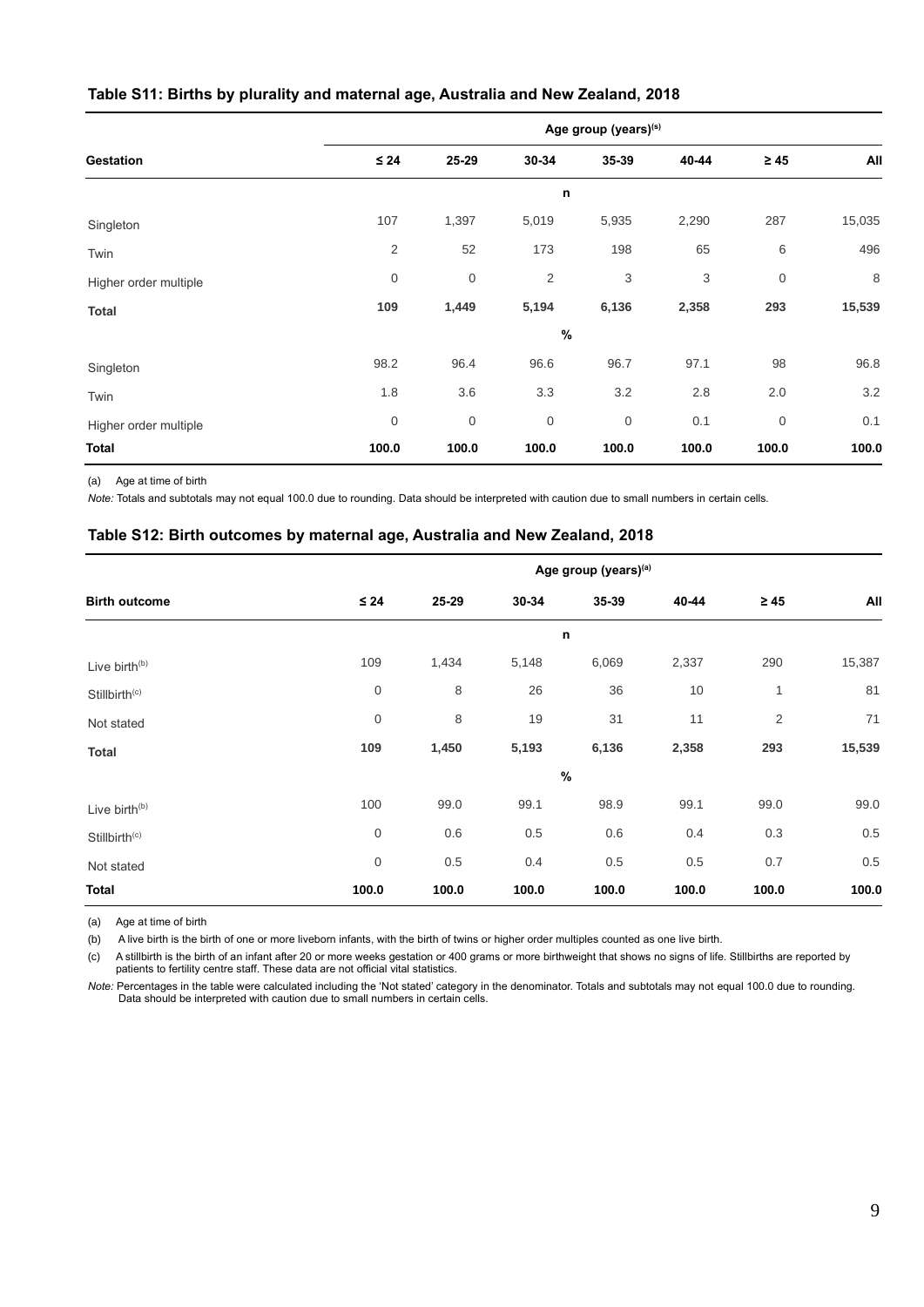## <span id="page-12-0"></span>**Table S11: Births by plurality and maternal age, Australia and New Zealand, 2018**

|                       | Age group (years)(s) |                  |                |             |       |                  |        |  |  |
|-----------------------|----------------------|------------------|----------------|-------------|-------|------------------|--------|--|--|
| <b>Gestation</b>      | $\leq 24$            | 25-29            | 30-34          | 35-39       | 40-44 | $\geq 45$        | All    |  |  |
|                       | n                    |                  |                |             |       |                  |        |  |  |
| Singleton             | 107                  | 1,397            | 5,019          | 5,935       | 2,290 | 287              | 15,035 |  |  |
| Twin                  | 2                    | 52               | 173            | 198         | 65    | 6                | 496    |  |  |
| Higher order multiple | 0                    | $\boldsymbol{0}$ | $\overline{2}$ | 3           | 3     | $\boldsymbol{0}$ | 8      |  |  |
| <b>Total</b>          | 109                  | 1,449            | 5,194          | 6,136       | 2,358 | 293              | 15,539 |  |  |
|                       |                      |                  |                | $\%$        |       |                  |        |  |  |
| Singleton             | 98.2                 | 96.4             | 96.6           | 96.7        | 97.1  | 98               | 96.8   |  |  |
| Twin                  | 1.8                  | 3.6              | 3.3            | 3.2         | 2.8   | 2.0              | 3.2    |  |  |
| Higher order multiple | 0                    | $\boldsymbol{0}$ | $\mathbf 0$    | $\mathbf 0$ | 0.1   | $\mathbf 0$      | 0.1    |  |  |
| <b>Total</b>          | 100.0                | 100.0            | 100.0          | 100.0       | 100.0 | 100.0            | 100.0  |  |  |

(a) Age at time of birth

*Note:* Totals and subtotals may not equal 100.0 due to rounding. Data should be interpreted with caution due to small numbers in certain cells*.*

#### <span id="page-12-1"></span>**Table S12: Birth outcomes by maternal age, Australia and New Zealand, 2018**

|                           | Age group (years) <sup>(a)</sup> |       |       |       |       |           |        |  |  |
|---------------------------|----------------------------------|-------|-------|-------|-------|-----------|--------|--|--|
| <b>Birth outcome</b>      | $\leq 24$                        | 25-29 | 30-34 | 35-39 | 40-44 | $\geq 45$ | All    |  |  |
|                           | n                                |       |       |       |       |           |        |  |  |
| Live birth <sup>(b)</sup> | 109                              | 1,434 | 5,148 | 6,069 | 2,337 | 290       | 15,387 |  |  |
| Stillbirth <sup>(c)</sup> | $\boldsymbol{0}$                 | 8     | 26    | 36    | 10    | 1         | 81     |  |  |
| Not stated                | $\boldsymbol{0}$                 | 8     | 19    | 31    | 11    | 2         | 71     |  |  |
| <b>Total</b>              | 109                              | 1,450 | 5,193 | 6,136 | 2,358 | 293       | 15,539 |  |  |
|                           |                                  |       |       | $\%$  |       |           |        |  |  |
| Live birth <sup>(b)</sup> | 100                              | 99.0  | 99.1  | 98.9  | 99.1  | 99.0      | 99.0   |  |  |
| Stillbirth <sup>(c)</sup> | $\boldsymbol{0}$                 | 0.6   | 0.5   | 0.6   | 0.4   | 0.3       | 0.5    |  |  |
| Not stated                | $\mathbf 0$                      | 0.5   | 0.4   | 0.5   | 0.5   | 0.7       | 0.5    |  |  |
| <b>Total</b>              | 100.0                            | 100.0 | 100.0 | 100.0 | 100.0 | 100.0     | 100.0  |  |  |

(a) Age at time of birth

(b) A live birth is the birth of one or more liveborn infants, with the birth of twins or higher order multiples counted as one live birth.

(c) A stillbirth is the birth of an infant after 20 or more weeks gestation or 400 grams or more birthweight that shows no signs of life. Stillbirths are reported by patients to fertility centre staff. These data are not official vital statistics.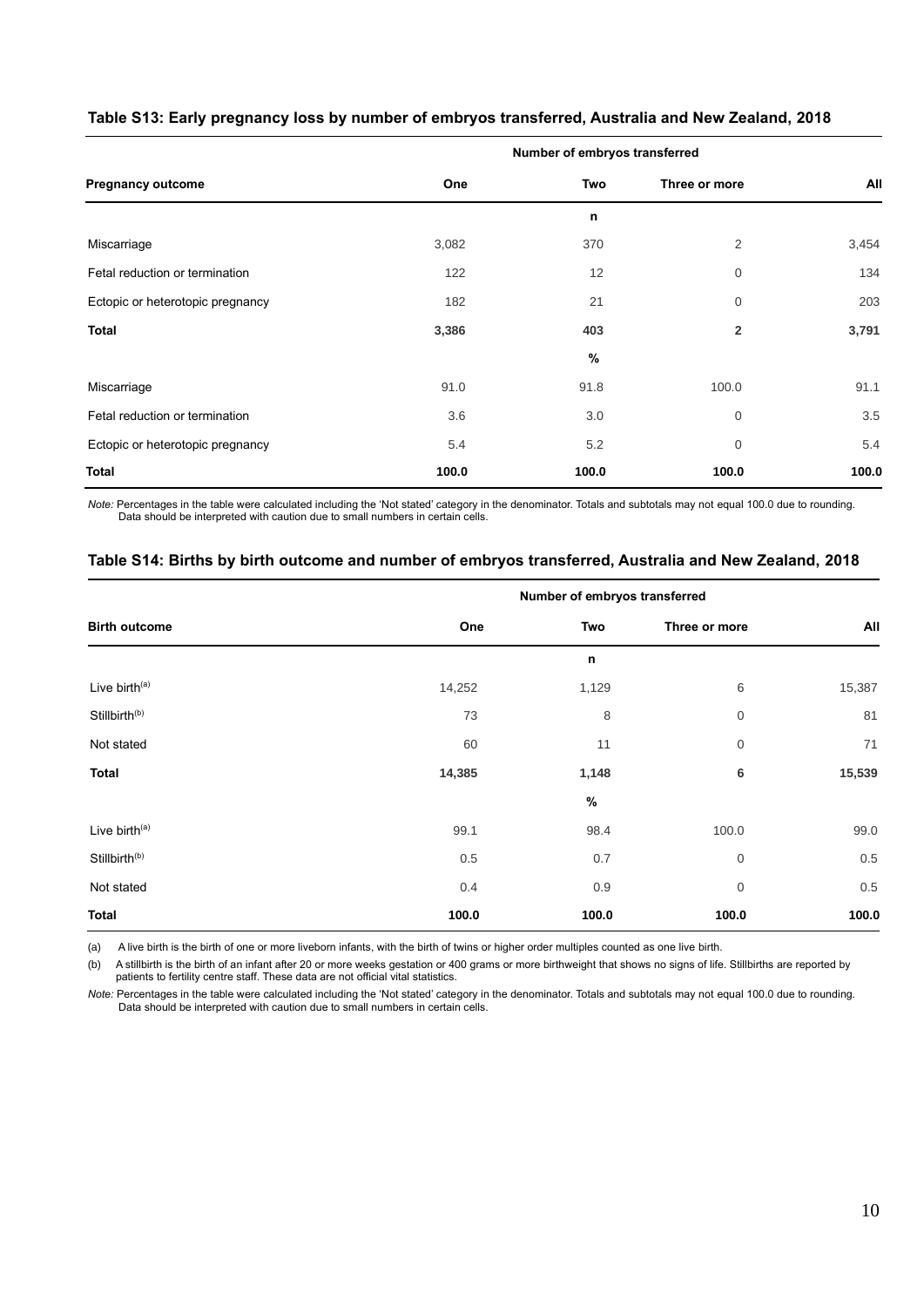|                                  | Number of embryos transferred |       |                |       |  |  |  |
|----------------------------------|-------------------------------|-------|----------------|-------|--|--|--|
| <b>Pregnancy outcome</b>         | One                           | Two   | Three or more  | All   |  |  |  |
|                                  |                               | n     |                |       |  |  |  |
| Miscarriage                      | 3,082                         | 370   | $\overline{2}$ | 3,454 |  |  |  |
| Fetal reduction or termination   | 122                           | 12    | $\overline{0}$ | 134   |  |  |  |
| Ectopic or heterotopic pregnancy | 182                           | 21    | $\overline{0}$ | 203   |  |  |  |
| <b>Total</b>                     | 3,386                         | 403   | $\overline{2}$ | 3,791 |  |  |  |
|                                  |                               | %     |                |       |  |  |  |
| Miscarriage                      | 91.0                          | 91.8  | 100.0          | 91.1  |  |  |  |
| Fetal reduction or termination   | 3.6                           | 3.0   | 0              | 3.5   |  |  |  |
| Ectopic or heterotopic pregnancy | 5.4                           | 5.2   | $\mathbf{0}$   | 5.4   |  |  |  |
| <b>Total</b>                     | 100.0                         | 100.0 | 100.0          | 100.0 |  |  |  |

## <span id="page-13-0"></span>**Table S13: Early pregnancy loss by number of embryos transferred, Australia and New Zealand, 2018**

*Note:* Percentages in the table were calculated including the 'Not stated' category in the denominator. Totals and subtotals may not equal 100.0 due to rounding. Data should be interpreted with caution due to small numbers in certain cells.

### <span id="page-13-1"></span>**Table S14: Births by birth outcome and number of embryos transferred, Australia and New Zealand, 2018**

|                           | Number of embryos transferred |       |                  |        |  |
|---------------------------|-------------------------------|-------|------------------|--------|--|
| <b>Birth outcome</b>      | One                           | Two   | Three or more    | All    |  |
|                           |                               | n     |                  |        |  |
| Live birth <sup>(a)</sup> | 14,252                        | 1,129 | 6                | 15,387 |  |
| Stillbirth <sup>(b)</sup> | 73                            | 8     | $\boldsymbol{0}$ | 81     |  |
| Not stated                | 60                            | 11    | $\mathbf 0$      | 71     |  |
| <b>Total</b>              | 14,385                        | 1,148 | 6                | 15,539 |  |
|                           |                               | $\%$  |                  |        |  |
| Live birth <sup>(a)</sup> | 99.1                          | 98.4  | 100.0            | 99.0   |  |
| Stillbirth <sup>(b)</sup> | $0.5\,$                       | 0.7   | $\boldsymbol{0}$ | 0.5    |  |
| Not stated                | 0.4                           | 0.9   | $\mathbf 0$      | 0.5    |  |
| <b>Total</b>              | 100.0                         | 100.0 | 100.0            | 100.0  |  |

(a) A live birth is the birth of one or more liveborn infants, with the birth of twins or higher order multiples counted as one live birth.

(b) A stillbirth is the birth of an infant after 20 or more weeks gestation or 400 grams or more birthweight that shows no signs of life. Stillbirths are reported by patients to fertility centre staff. These data are not official vital statistics.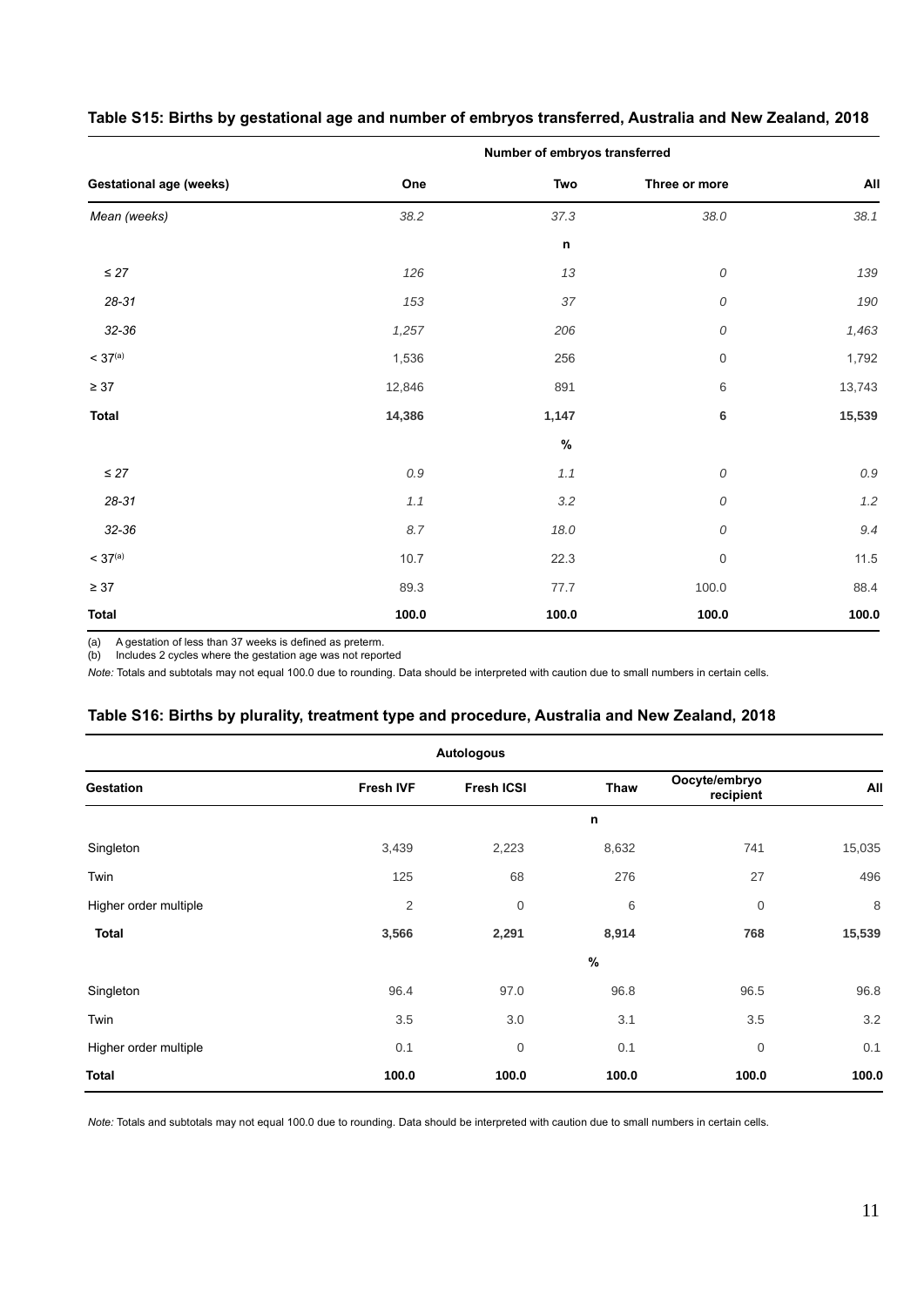|                                |         | Number of embryos transferred |                     |         |
|--------------------------------|---------|-------------------------------|---------------------|---------|
| <b>Gestational age (weeks)</b> | One     | Two                           | Three or more       | All     |
| Mean (weeks)                   | 38.2    | 37.3                          | 38.0                | 38.1    |
|                                |         | $\mathsf n$                   |                     |         |
| $\leq 27$                      | 126     | 13                            | ${\cal O}$          | 139     |
| $28 - 31$                      | 153     | 37                            | 0                   | 190     |
| 32-36                          | 1,257   | 206                           | ${\cal O}$          | 1,463   |
| < 37 <sup>(a)</sup>            | 1,536   | 256                           | $\mathsf{O}\xspace$ | 1,792   |
| $\geq 37$                      | 12,846  | 891                           | 6                   | 13,743  |
| <b>Total</b>                   | 14,386  | 1,147                         | 6                   | 15,539  |
|                                |         | $\%$                          |                     |         |
| $\leq 27$                      | $0.9\,$ | 1.1                           | ${\cal O}$          | $0.9\,$ |
| $28 - 31$                      | 1.1     | $3.2\,$                       | ${\cal O}$          | $1.2\,$ |
| 32-36                          | 8.7     | 18.0                          | ${\cal O}$          | 9.4     |
| < 37 <sup>(a)</sup>            | 10.7    | 22.3                          | $\boldsymbol{0}$    | 11.5    |
| $\geq 37$                      | 89.3    | 77.7                          | 100.0               | 88.4    |
| <b>Total</b>                   | 100.0   | 100.0                         | 100.0               | 100.0   |

## <span id="page-14-0"></span>**Table S15: Births by gestational age and number of embryos transferred, Australia and New Zealand, 2018**

(a) A gestation of less than 37 weeks is defined as preterm.

(b) Includes 2 cycles where the gestation age was not reported

*Note:* Totals and subtotals may not equal 100.0 due to rounding. Data should be interpreted with caution due to small numbers in certain cells.

## <span id="page-14-1"></span>**Table S16: Births by plurality, treatment type and procedure, Australia and New Zealand, 2018**

| <b>Autologous</b>     |                  |                   |       |                            |        |  |  |  |
|-----------------------|------------------|-------------------|-------|----------------------------|--------|--|--|--|
| Gestation             | <b>Fresh IVF</b> | <b>Fresh ICSI</b> | Thaw  | Oocyte/embryo<br>recipient | All    |  |  |  |
|                       |                  |                   | n     |                            |        |  |  |  |
| Singleton             | 3,439            | 2,223             | 8,632 | 741                        | 15,035 |  |  |  |
| Twin                  | 125              | 68                | 276   | 27                         | 496    |  |  |  |
| Higher order multiple | $\sqrt{2}$       | $\mathbf 0$       | 6     | $\boldsymbol{0}$           | 8      |  |  |  |
| <b>Total</b>          | 3,566            | 2,291             | 8,914 | 768                        | 15,539 |  |  |  |
|                       |                  |                   | $\%$  |                            |        |  |  |  |
| Singleton             | 96.4             | 97.0              | 96.8  | 96.5                       | 96.8   |  |  |  |
| Twin                  | 3.5              | 3.0               | 3.1   | 3.5                        | 3.2    |  |  |  |
| Higher order multiple | 0.1              | $\mathbf 0$       | 0.1   | $\boldsymbol{0}$           | 0.1    |  |  |  |
| <b>Total</b>          | 100.0            | 100.0             | 100.0 | 100.0                      | 100.0  |  |  |  |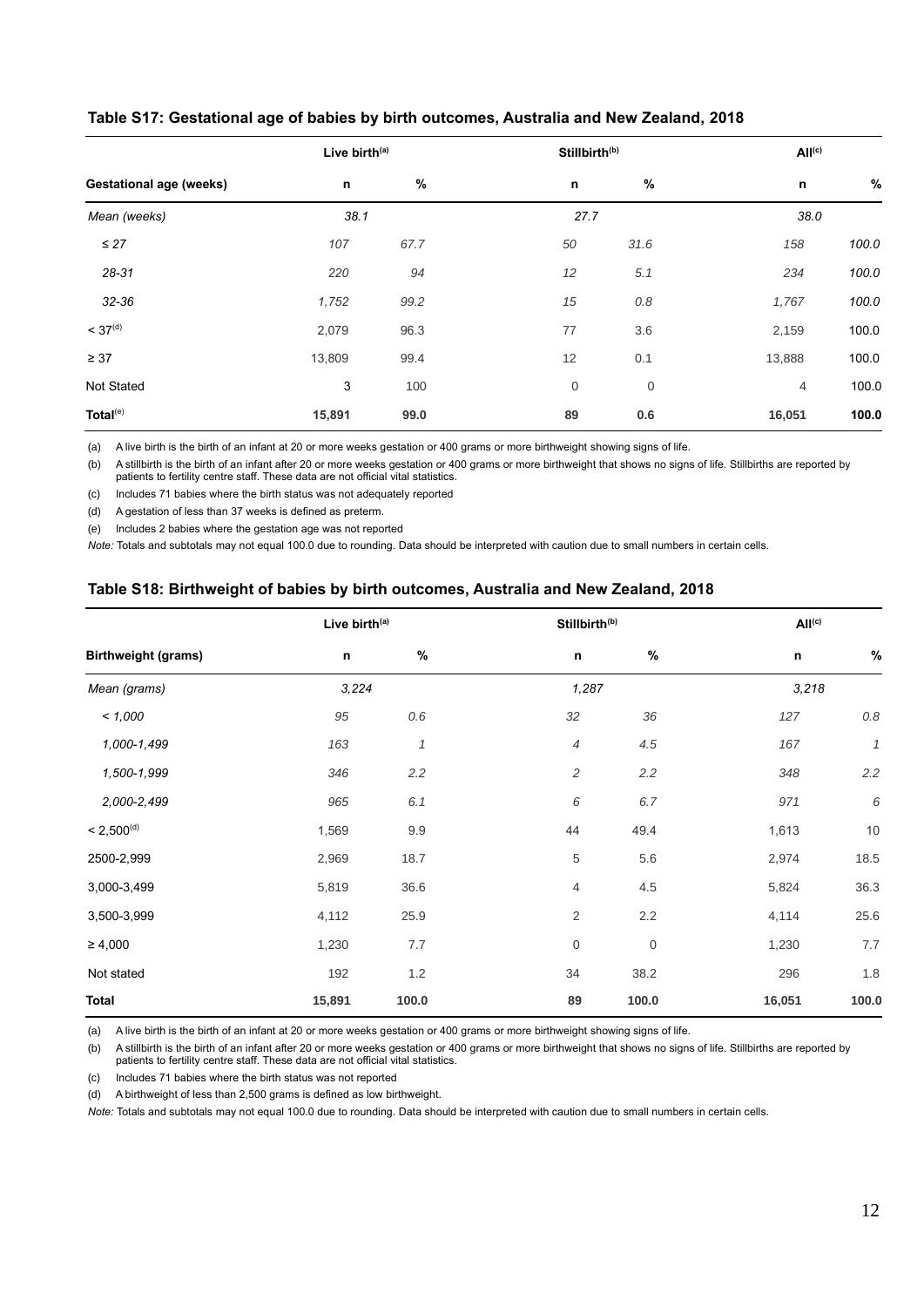|                                |             | Live birth <sup>(a)</sup> |    | Stillbirth <sup>(b)</sup> |        | All <sup>(c)</sup> |  |
|--------------------------------|-------------|---------------------------|----|---------------------------|--------|--------------------|--|
| <b>Gestational age (weeks)</b> | $\mathsf n$ | $\%$                      | n  | %                         | n      | %                  |  |
| Mean (weeks)                   | 38.1        |                           |    | 27.7                      | 38.0   |                    |  |
| $\leq 27$                      | 107         | 67.7                      | 50 | 31.6                      | 158    | 100.0              |  |
| 28-31                          | 220         | 94                        | 12 | 5.1                       | 234    | 100.0              |  |
| 32-36                          | 1,752       | 99.2                      | 15 | 0.8                       | 1,767  | 100.0              |  |
| < 37 <sup>(d)</sup>            | 2,079       | 96.3                      | 77 | 3.6                       | 2,159  | 100.0              |  |
| $\geq 37$                      | 13,809      | 99.4                      | 12 | 0.1                       | 13,888 | 100.0              |  |
| Not Stated                     | 3           | 100                       | 0  | $\boldsymbol{0}$          | 4      | 100.0              |  |
| Total <sup>(e)</sup>           | 15,891      | 99.0                      | 89 | 0.6                       | 16,051 | 100.0              |  |

## <span id="page-15-0"></span>**Table S17: Gestational age of babies by birth outcomes, Australia and New Zealand, 2018**

(a) A live birth is the birth of an infant at 20 or more weeks gestation or 400 grams or more birthweight showing signs of life.

(b) A stillbirth is the birth of an infant after 20 or more weeks gestation or 400 grams or more birthweight that shows no signs of life. Stillbirths are reported by patients to fertility centre staff. These data are not official vital statistics.

(c) Includes 71 babies where the birth status was not adequately reported

(d) A gestation of less than 37 weeks is defined as preterm.

(e) Includes 2 babies where the gestation age was not reported

*Note:* Totals and subtotals may not equal 100.0 due to rounding. Data should be interpreted with caution due to small numbers in certain cells.

## <span id="page-15-1"></span>**Table S18: Birthweight of babies by birth outcomes, Australia and New Zealand, 2018**

|                            | Live birth <sup>(a)</sup> |              |                  | Stillbirth <sup>(b)</sup> |             | All <sup>(c)</sup> |
|----------------------------|---------------------------|--------------|------------------|---------------------------|-------------|--------------------|
| <b>Birthweight (grams)</b> | $\mathsf n$               | $\%$         | n                | $\%$                      | $\mathsf n$ | $\%$               |
| Mean (grams)               | 3,224                     |              |                  | 1,287                     |             | 3,218              |
| < 1,000                    | 95                        | 0.6          | 32               | 36                        | 127         | $0.8\,$            |
| 1,000-1,499                | 163                       | $\mathcal I$ | $\overline{4}$   | 4.5                       | 167         | $\mathcal I$       |
| 1,500-1,999                | 346                       | 2.2          | $\overline{c}$   | 2.2                       | 348         | 2.2                |
| 2,000-2,499                | 965                       | 6.1          | 6                | 6.7                       | 971         | 6                  |
| < 2,500 <sup>(d)</sup>     | 1,569                     | 9.9          | 44               | 49.4                      | 1,613       | 10                 |
| 2500-2,999                 | 2,969                     | 18.7         | 5                | 5.6                       | 2,974       | 18.5               |
| 3,000-3,499                | 5,819                     | 36.6         | 4                | 4.5                       | 5,824       | 36.3               |
| 3,500-3,999                | 4,112                     | 25.9         | $\overline{2}$   | 2.2                       | 4,114       | 25.6               |
| $\geq 4,000$               | 1,230                     | 7.7          | $\boldsymbol{0}$ | 0                         | 1,230       | 7.7                |
| Not stated                 | 192                       | 1.2          | 34               | 38.2                      | 296         | $1.8\,$            |
| <b>Total</b>               | 15,891                    | 100.0        | 89               | 100.0                     | 16,051      | 100.0              |

(a) A live birth is the birth of an infant at 20 or more weeks gestation or 400 grams or more birthweight showing signs of life.

(b) A stillbirth is the birth of an infant after 20 or more weeks gestation or 400 grams or more birthweight that shows no signs of life. Stillbirths are reported by patients to fertility centre staff. These data are not official vital statistics.

(c) Includes 71 babies where the birth status was not reported

(d) A birthweight of less than 2,500 grams is defined as low birthweight.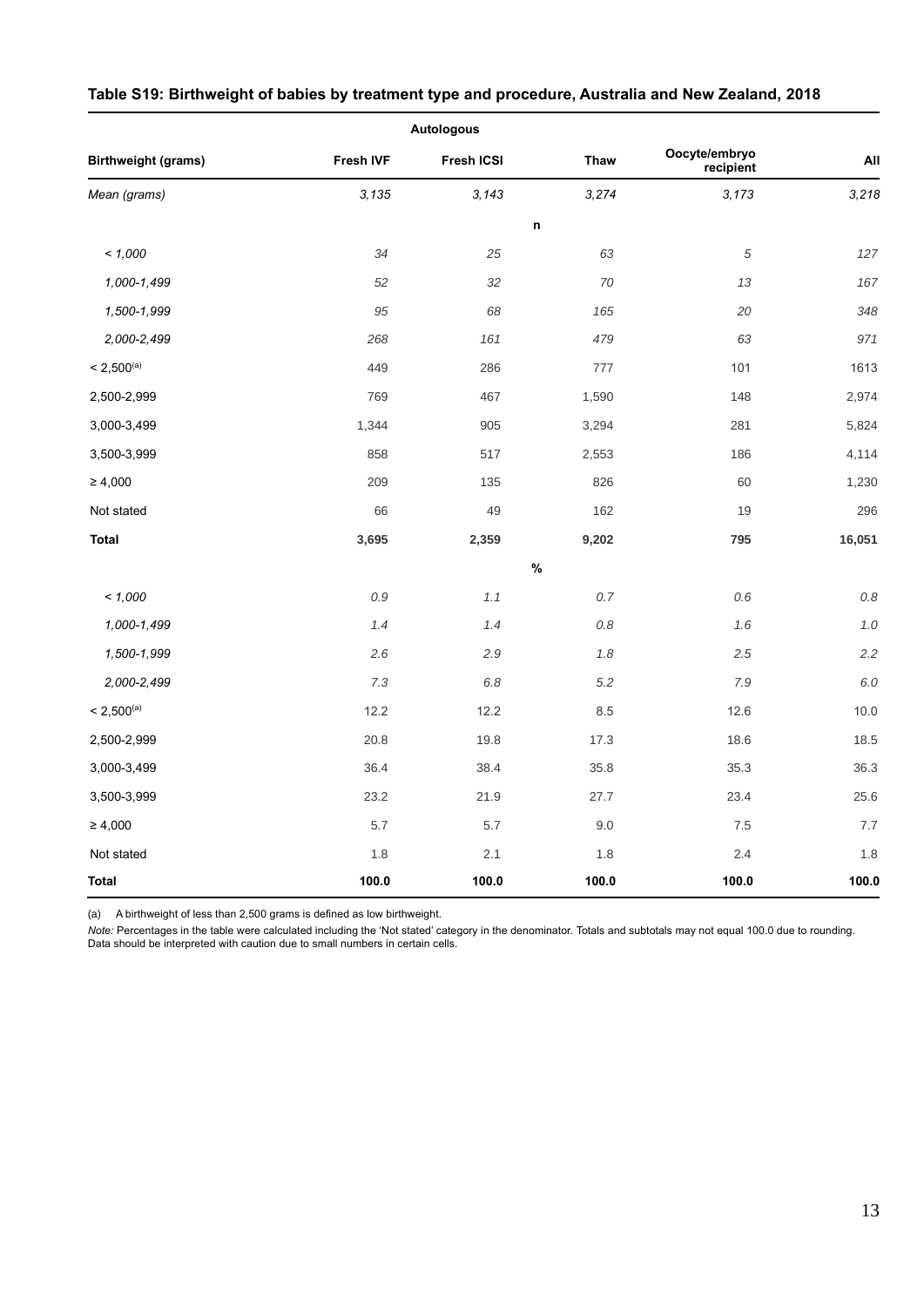|                            |           | <b>Autologous</b> |             |                            |         |
|----------------------------|-----------|-------------------|-------------|----------------------------|---------|
| <b>Birthweight (grams)</b> | Fresh IVF | Fresh ICSI        | <b>Thaw</b> | Oocyte/embryo<br>recipient | All     |
| Mean (grams)               | 3,135     | 3,143             | 3,274       | 3,173                      | 3,218   |
|                            |           |                   | $\mathsf n$ |                            |         |
| < 1,000                    | 34        | 25                | 63          | $\sqrt{5}$                 | 127     |
| 1,000-1,499                | 52        | 32                | 70          | 13                         | 167     |
| 1,500-1,999                | 95        | 68                | 165         | 20                         | 348     |
| 2,000-2,499                | 268       | 161               | 479         | 63                         | 971     |
| $< 2,500^{(a)}$            | 449       | 286               | 777         | 101                        | 1613    |
| 2,500-2,999                | 769       | 467               | 1,590       | 148                        | 2,974   |
| 3,000-3,499                | 1,344     | 905               | 3,294       | 281                        | 5,824   |
| 3,500-3,999                | 858       | 517               | 2,553       | 186                        | 4,114   |
| $\geq 4,000$               | 209       | 135               | 826         | 60                         | 1,230   |
| Not stated                 | 66        | 49                | 162         | 19                         | 296     |
| <b>Total</b>               | 3,695     | 2,359             | 9,202       | 795                        | 16,051  |
|                            |           |                   | $\%$        |                            |         |
| < 1,000                    | $0.9\,$   | 1.1               | $0.7\,$     | 0.6                        | $0.8\,$ |
| 1,000-1,499                | 1.4       | 1.4               | $0.8\,$     | 1.6                        | $1.0$   |
| 1,500-1,999                | 2.6       | 2.9               | $1.8\,$     | 2.5                        | 2.2     |
| 2,000-2,499                | 7.3       | 6.8               | $5.2\,$     | 7.9                        | 6.0     |
| $< 2,500^{(a)}$            | 12.2      | 12.2              | 8.5         | 12.6                       | 10.0    |
| 2,500-2,999                | 20.8      | 19.8              | 17.3        | 18.6                       | 18.5    |
| 3,000-3,499                | 36.4      | 38.4              | 35.8        | 35.3                       | 36.3    |
| 3,500-3,999                | 23.2      | 21.9              | 27.7        | 23.4                       | 25.6    |
| $\geq 4,000$               | 5.7       | 5.7               | 9.0         | 7.5                        | $7.7\,$ |
| Not stated                 | 1.8       | 2.1               | 1.8         | 2.4                        | $1.8$   |
| <b>Total</b>               | 100.0     | 100.0             | 100.0       | 100.0                      | 100.0   |

## <span id="page-16-0"></span>**Table S19: Birthweight of babies by treatment type and procedure, Australia and New Zealand, 2018**

(a) A birthweight of less than 2,500 grams is defined as low birthweight.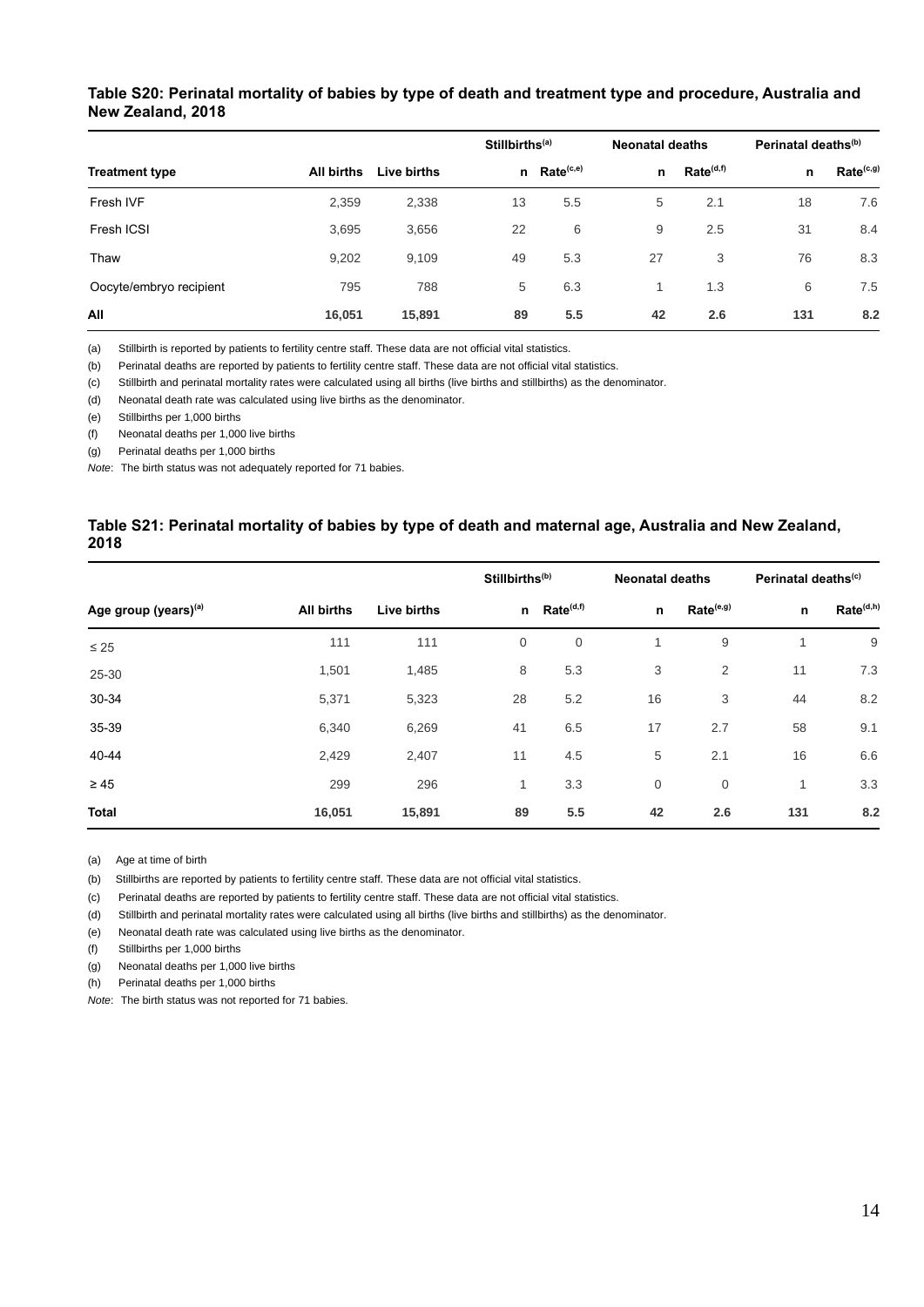## <span id="page-17-0"></span>**Table S20: Perinatal mortality of babies by type of death and treatment type and procedure, Australia and New Zealand, 2018**

|                         |                   |             |    | Stillbirths <sup>(a)</sup> |    | <b>Neonatal deaths</b> |     | Perinatal deaths <sup>(b)</sup> |  |
|-------------------------|-------------------|-------------|----|----------------------------|----|------------------------|-----|---------------------------------|--|
| <b>Treatment type</b>   | <b>All births</b> | Live births | n  | Rate <sup>(c,e)</sup>      | n  | Rate <sup>(d,f)</sup>  | n   | Rate <sup>(c,g)</sup>           |  |
| Fresh IVF               | 2,359             | 2,338       | 13 | 5.5                        | 5  | 2.1                    | 18  | 7.6                             |  |
| Fresh ICSI              | 3,695             | 3,656       | 22 | 6                          | 9  | 2.5                    | 31  | 8.4                             |  |
| Thaw                    | 9,202             | 9,109       | 49 | 5.3                        | 27 | 3                      | 76  | 8.3                             |  |
| Oocyte/embryo recipient | 795               | 788         | 5  | 6.3                        |    | 1.3                    | 6   | 7.5                             |  |
| All                     | 16,051            | 15,891      | 89 | 5.5                        | 42 | 2.6                    | 131 | 8.2                             |  |

(a) Stillbirth is reported by patients to fertility centre staff. These data are not official vital statistics.

(b) Perinatal deaths are reported by patients to fertility centre staff. These data are not official vital statistics.

(c) Stillbirth and perinatal mortality rates were calculated using all births (live births and stillbirths) as the denominator.

(d) Neonatal death rate was calculated using live births as the denominator.

(e) Stillbirths per 1,000 births

(f) Neonatal deaths per 1,000 live births

(g) Perinatal deaths per 1,000 births

*Note*: The birth status was not adequately reported for 71 babies.

#### <span id="page-17-1"></span>**Table S21: Perinatal mortality of babies by type of death and maternal age, Australia and New Zealand, 2018**

|                                  |            |             |             | Stillbirths <sup>(b)</sup> |                         | <b>Neonatal deaths</b> |                          | Perinatal deaths <sup>(c)</sup> |  |
|----------------------------------|------------|-------------|-------------|----------------------------|-------------------------|------------------------|--------------------------|---------------------------------|--|
| Age group (years) <sup>(a)</sup> | All births | Live births |             | n Rate <sup>(d,f)</sup>    | $\mathsf{n}$            | Rate <sup>(e,g)</sup>  | $\mathsf{n}$             | Rate <sup>(d,h)</sup>           |  |
| $\leq 25$                        | 111        | 111         | $\mathbf 0$ | $\mathbf 0$                | $\overline{\mathbf{A}}$ | 9                      | $\overline{\mathcal{A}}$ | 9                               |  |
| 25-30                            | 1,501      | 1,485       | 8           | 5.3                        | 3                       | 2                      | 11                       | 7.3                             |  |
| 30-34                            | 5,371      | 5,323       | 28          | 5.2                        | 16                      | 3                      | 44                       | 8.2                             |  |
| 35-39                            | 6,340      | 6,269       | 41          | 6.5                        | 17                      | 2.7                    | 58                       | 9.1                             |  |
| 40-44                            | 2,429      | 2,407       | 11          | 4.5                        | 5                       | 2.1                    | 16                       | 6.6                             |  |
| $\geq 45$                        | 299        | 296         | 1           | 3.3                        | 0                       | $\mathbf 0$            | 1                        | 3.3                             |  |
| <b>Total</b>                     | 16,051     | 15,891      | 89          | 5.5                        | 42                      | 2.6                    | 131                      | 8.2                             |  |

(a) Age at time of birth

(b) Stillbirths are reported by patients to fertility centre staff. These data are not official vital statistics.

(c) Perinatal deaths are reported by patients to fertility centre staff. These data are not official vital statistics.

(d) Stillbirth and perinatal mortality rates were calculated using all births (live births and stillbirths) as the denominator.

(e) Neonatal death rate was calculated using live births as the denominator.

(f) Stillbirths per 1,000 births

(g) Neonatal deaths per 1,000 live births

(h) Perinatal deaths per 1,000 births

*Note*: The birth status was not reported for 71 babies.